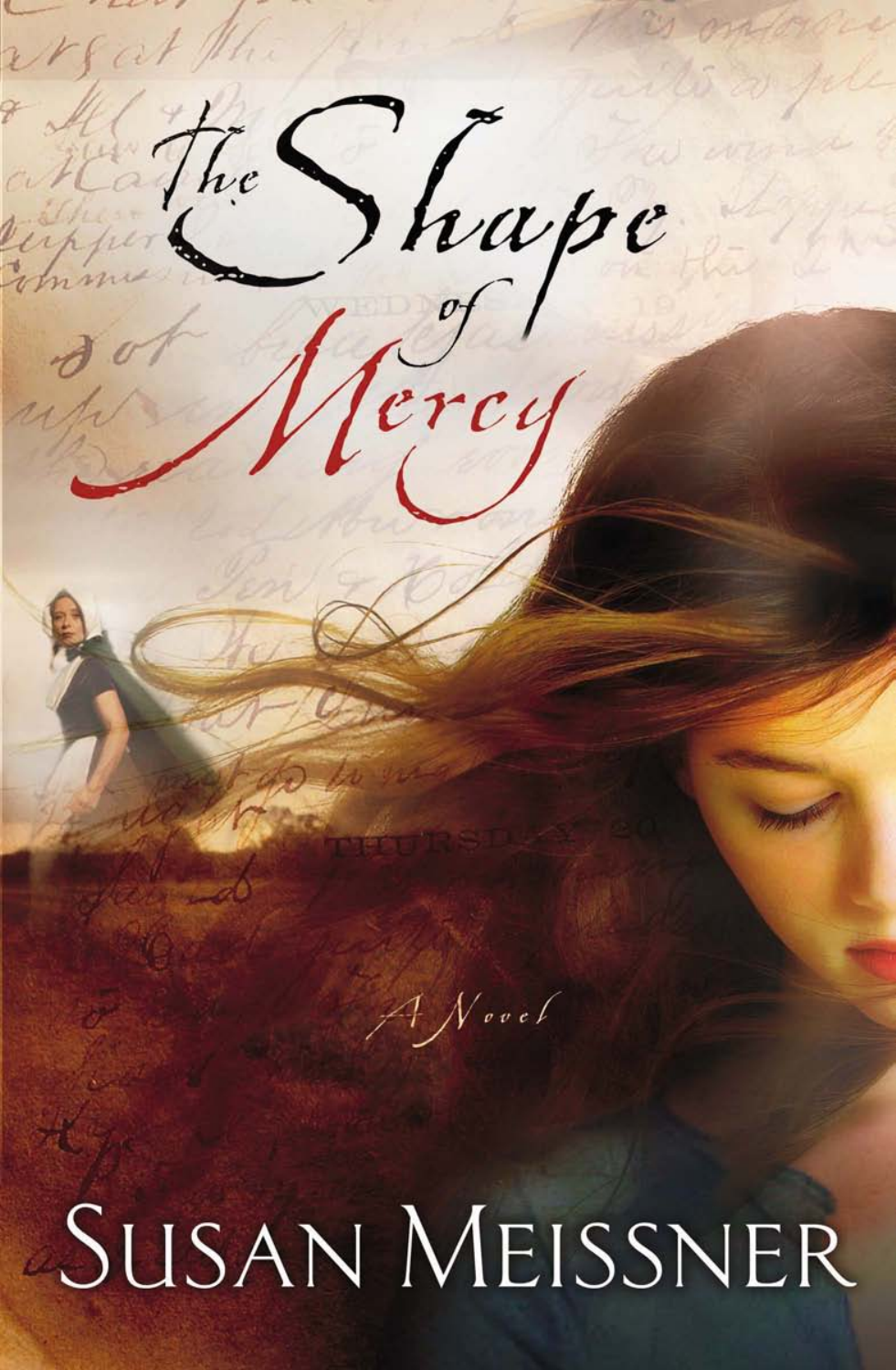That  $h$  $r_{\mathcal{C}}$  $\overset{\sim}{\varepsilon}$ r A Novel SUSAN MEISSNER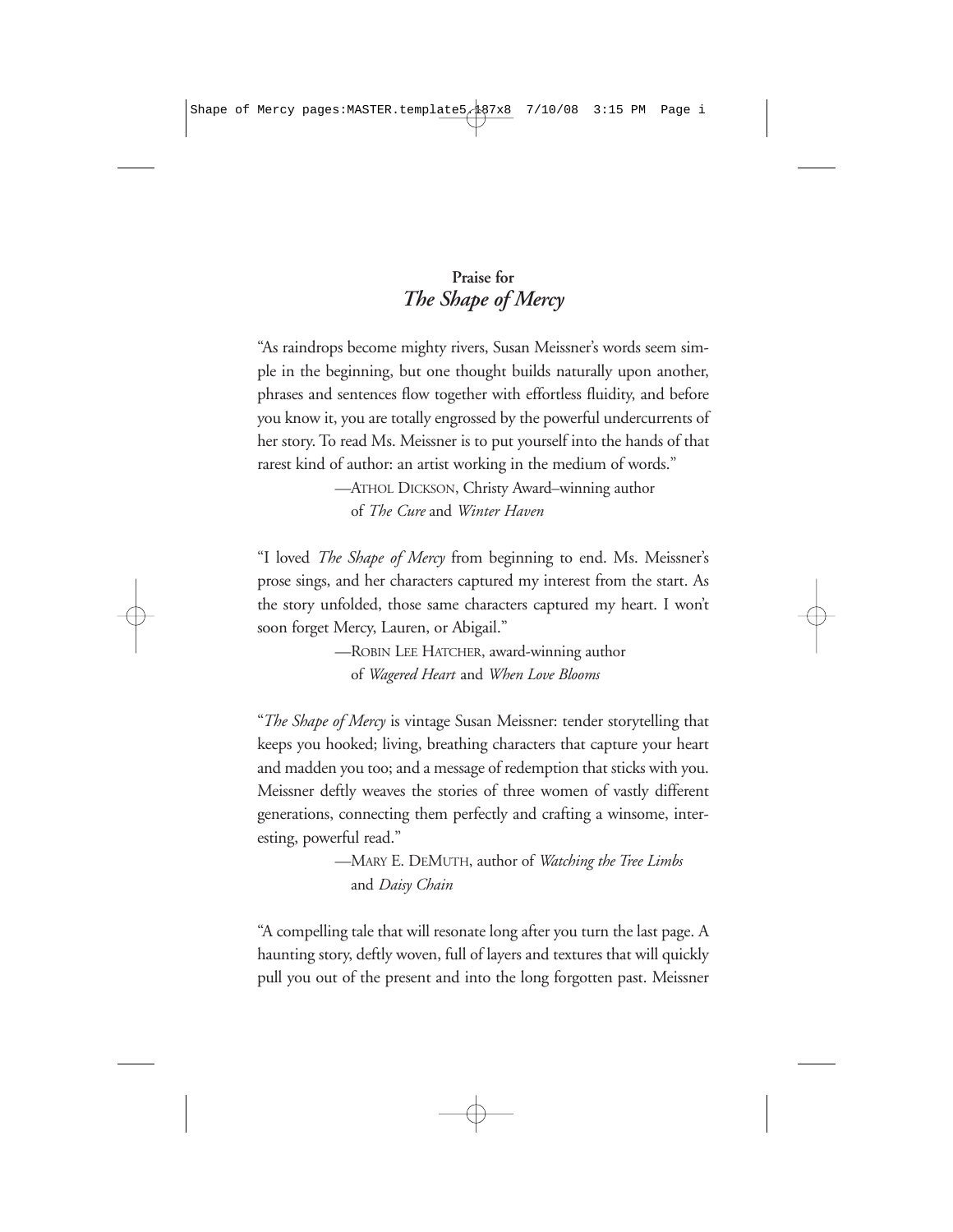## **Praise for**  *The Shape of Mercy*

"As raindrops become mighty rivers, Susan Meissner's words seem simple in the beginning, but one thought builds naturally upon another, phrases and sentences flow together with effortless fluidity, and before you know it, you are totally engrossed by the powerful undercurrents of her story. To read Ms. Meissner is to put yourself into the hands of that rarest kind of author: an artist working in the medium of words."

> —ATHOL DICKSON, Christy Award–winning author of *The Cure* and *Winter Haven*

"I loved *The Shape of Mercy* from beginning to end. Ms. Meissner's prose sings, and her characters captured my interest from the start. As the story unfolded, those same characters captured my heart. I won't soon forget Mercy, Lauren, or Abigail."

> —ROBIN LEE HATCHER, award-winning author of *Wagered Heart* and *When Love Blooms*

"*The Shape of Mercy* is vintage Susan Meissner: tender storytelling that keeps you hooked; living, breathing characters that capture your heart and madden you too; and a message of redemption that sticks with you. Meissner deftly weaves the stories of three women of vastly different generations, connecting them perfectly and crafting a winsome, interesting, powerful read."

> —MARY E. DEMUTH, author of *Watching the Tree Limbs* and *Daisy Chain*

"A compelling tale that will resonate long after you turn the last page. A haunting story, deftly woven, full of layers and textures that will quickly pull you out of the present and into the long forgotten past. Meissner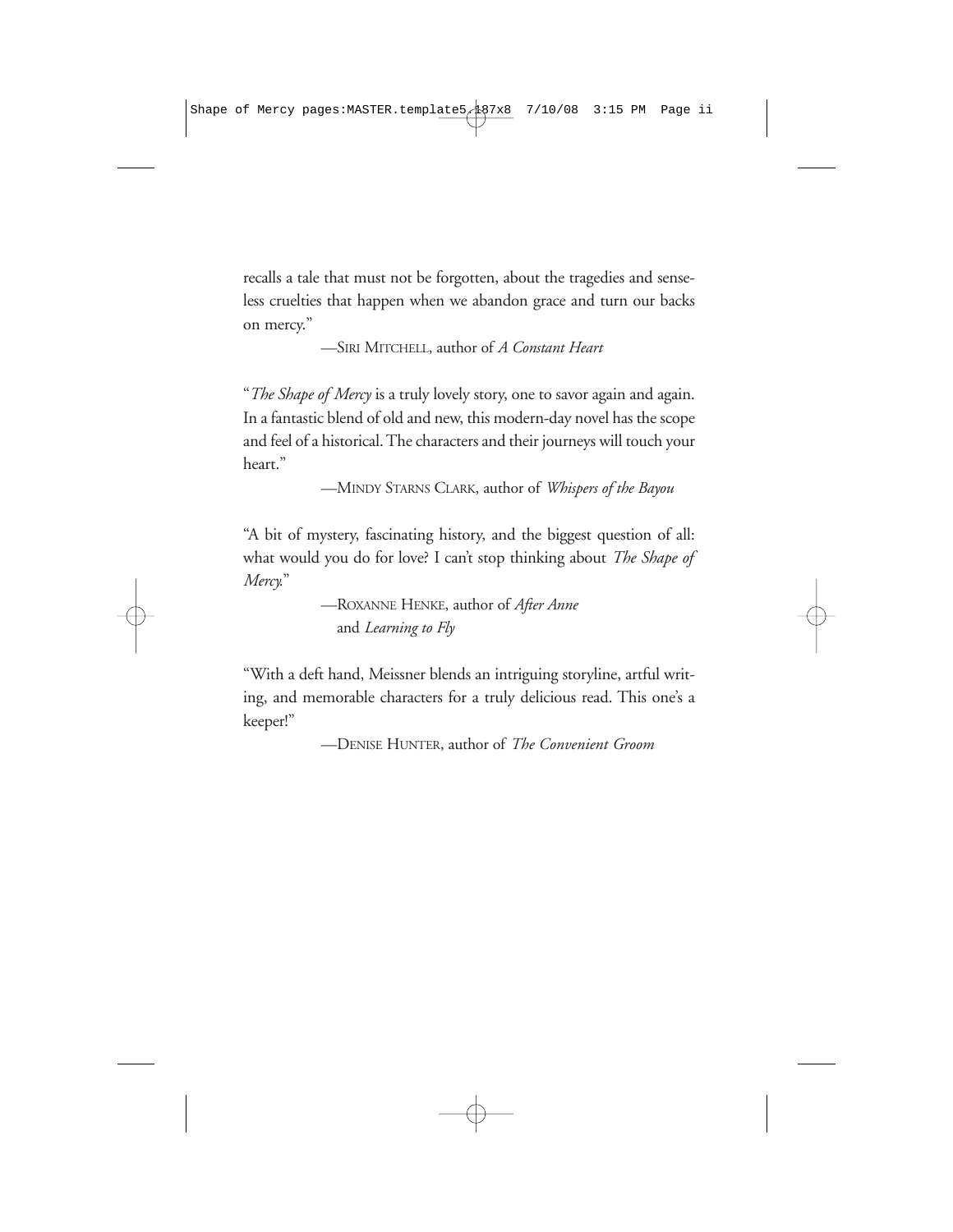recalls a tale that must not be forgotten, about the tragedies and senseless cruelties that happen when we abandon grace and turn our backs on mercy."

—SIRI MITCHELL, author of *A Constant Heart*

"*The Shape of Mercy* is a truly lovely story, one to savor again and again. In a fantastic blend of old and new, this modern-day novel has the scope and feel of a historical. The characters and their journeys will touch your heart."

—MINDY STARNS CLARK, author of *Whispers of the Bayou*

"A bit of mystery, fascinating history, and the biggest question of all: what would you do for love? I can't stop thinking about *The Shape of Mercy.*"

> —ROXANNE HENKE, author of *After Anne* and *Learning to Fly*

"With a deft hand, Meissner blends an intriguing storyline, artful writing, and memorable characters for a truly delicious read. This one's a keeper!"

—DENISE HUNTER, author of *The Convenient Groom*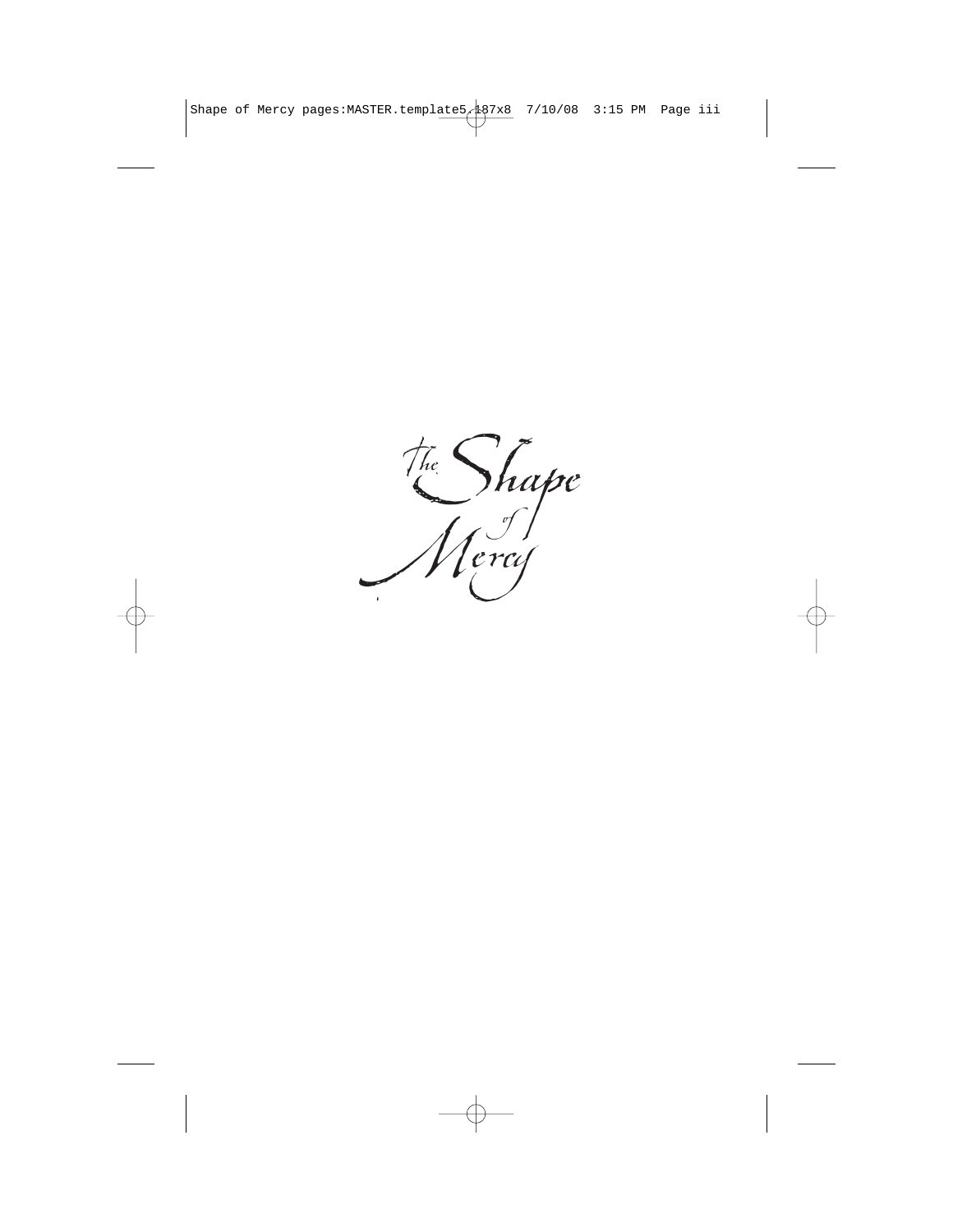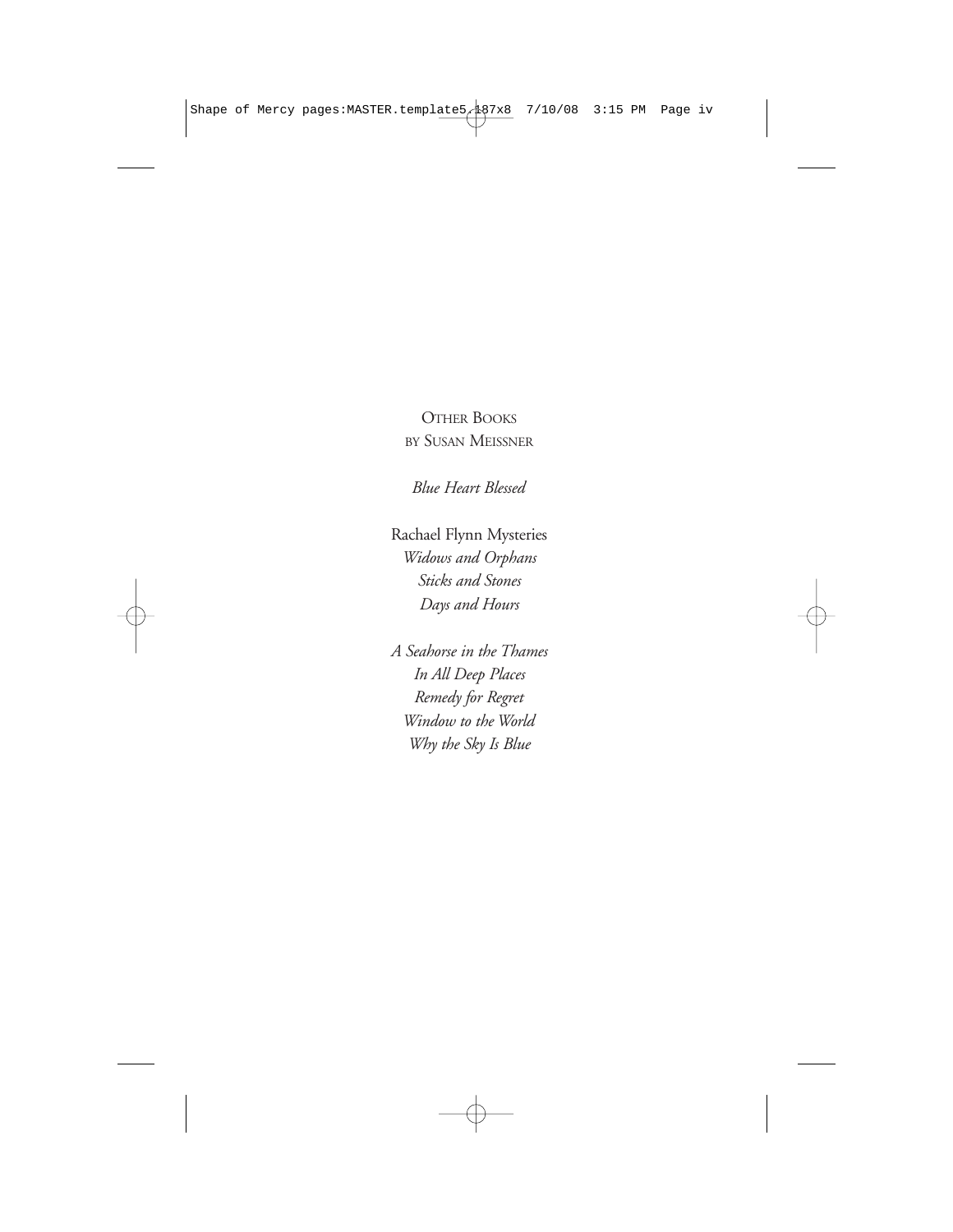## OTHER BOOKS BY SUSAN MEISSNER

*Blue Heart Blessed*

Rachael Flynn Mysteries *Widows and Orphans Sticks and Stones Days and Hours*

*A Seahorse in the Thames In All Deep Places Remedy for Regret Window to the World Why the Sky Is Blue*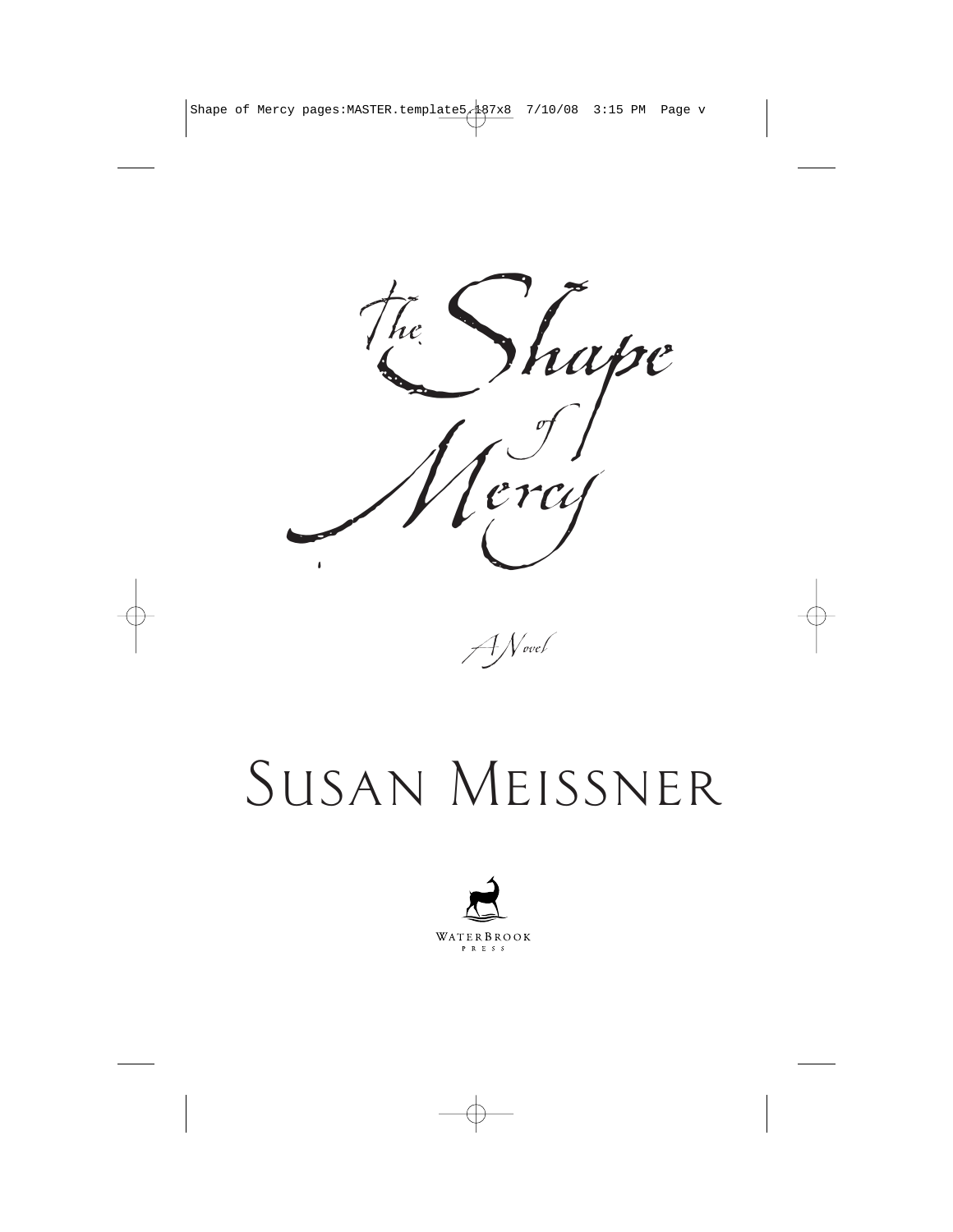The Shape Mercy

A Novel

## Susan Meissner

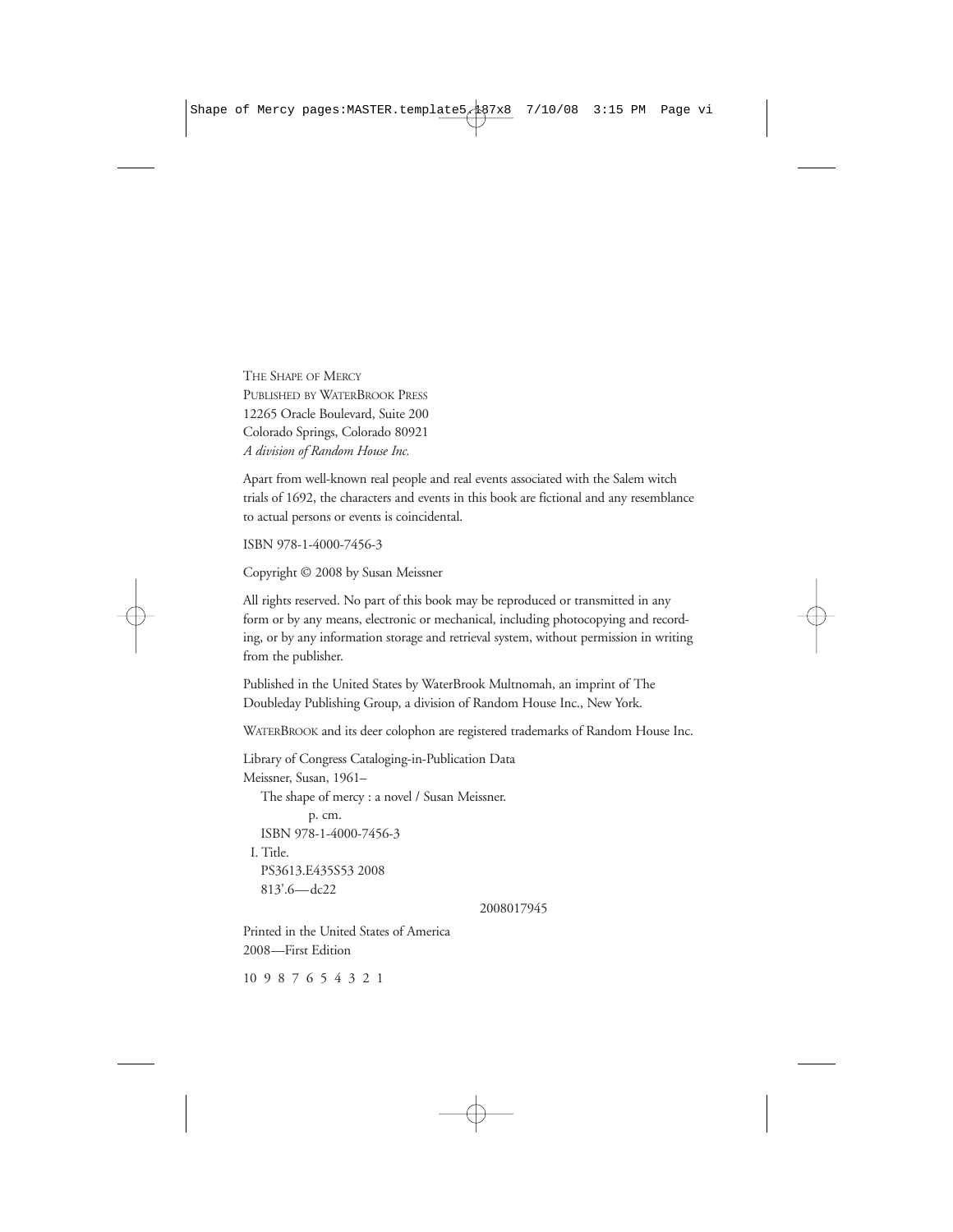THE SHAPE OF MERCY PUBLISHED BY WATERBROOK PRESS 12265 Oracle Boulevard, Suite 200 Colorado Springs, Colorado 80921 *A division of Random House Inc.*

Apart from well-known real people and real events associated with the Salem witch trials of 1692, the characters and events in this book are fictional and any resemblance to actual persons or events is coincidental.

ISBN 978-1-4000-7456-3

Copyright © 2008 by Susan Meissner

All rights reserved. No part of this book may be reproduced or transmitted in any form or by any means, electronic or mechanical, including photocopying and recording, or by any information storage and retrieval system, without permission in writing from the publisher.

Published in the United States by WaterBrook Multnomah, an imprint of The Doubleday Publishing Group, a division of Random House Inc., New York.

WATERBROOK and its deer colophon are registered trademarks of Random House Inc.

Library of Congress Cataloging-in-Publication Data Meissner, Susan, 1961–

The shape of mercy : a novel / Susan Meissner.

p. cm. ISBN 978-1-4000-7456-3 I. Title. PS3613.E435S53 2008 813'.6—dc22

2008017945

Printed in the United States of America 2008—First Edition

10 9 8 7 6 5 4 3 2 1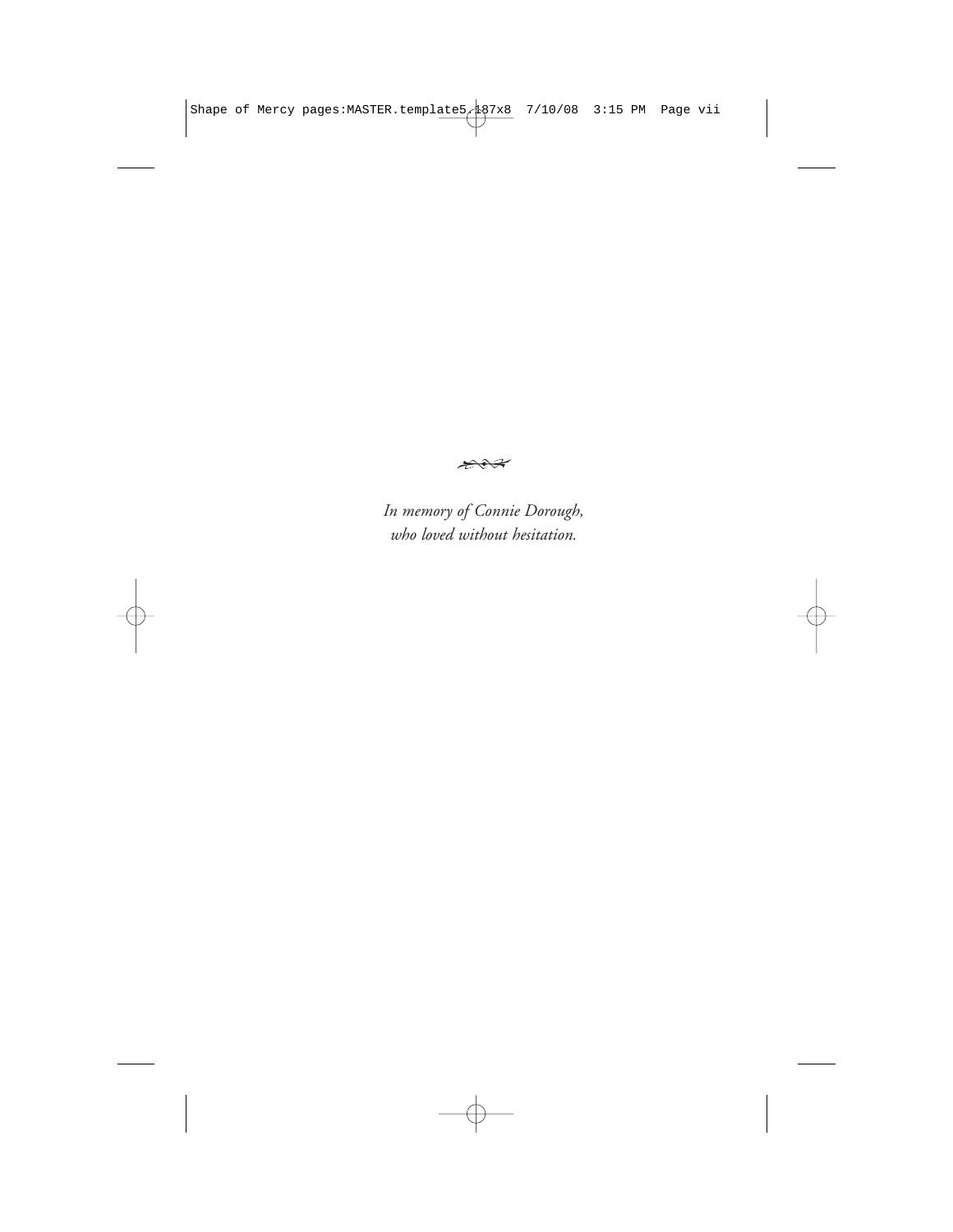$\cancel{\Rightarrow}$ 

*In memory of Connie Dorough, who loved without hesitation.*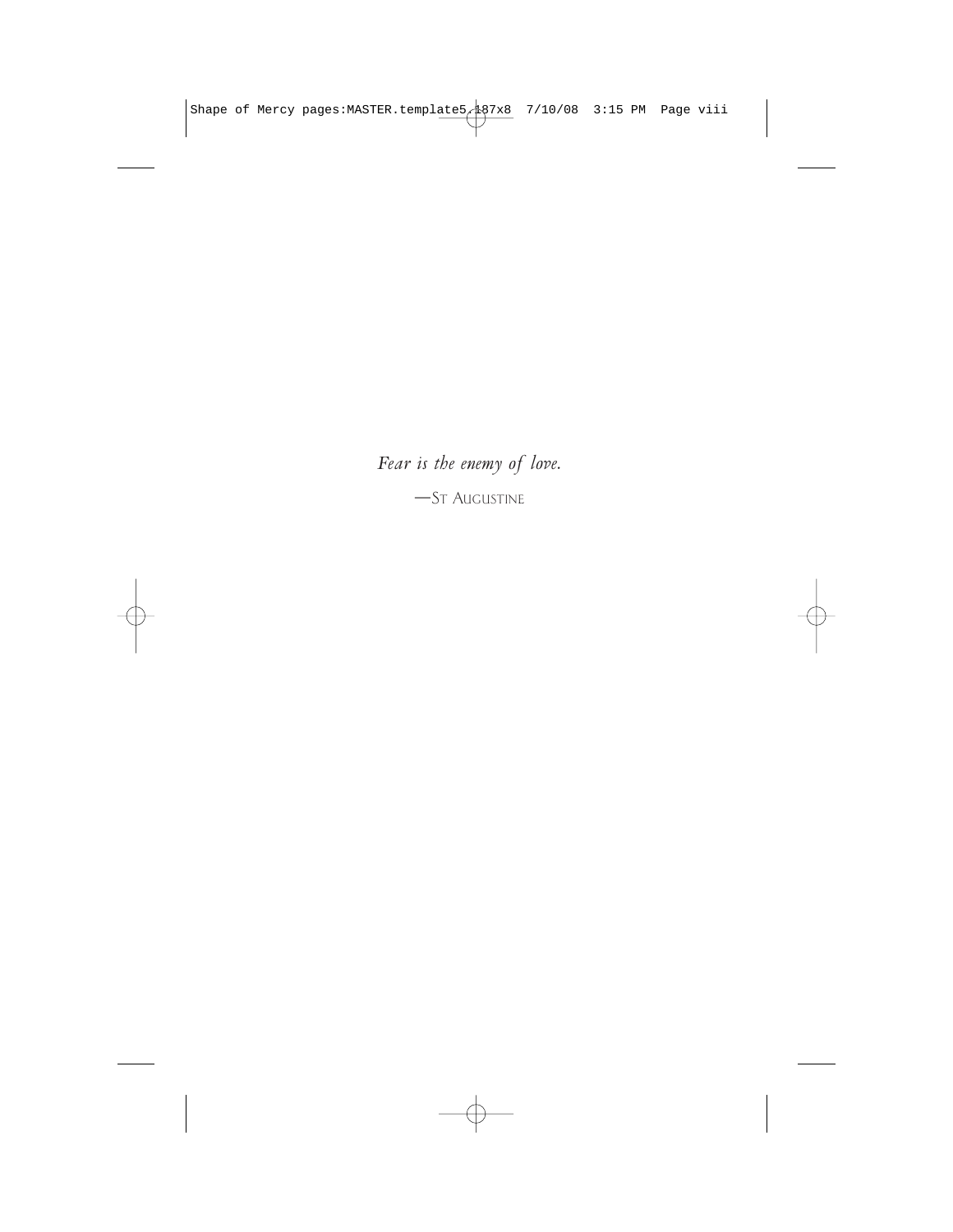*Fear is the enemy of love.*

—ST AUGUSTINE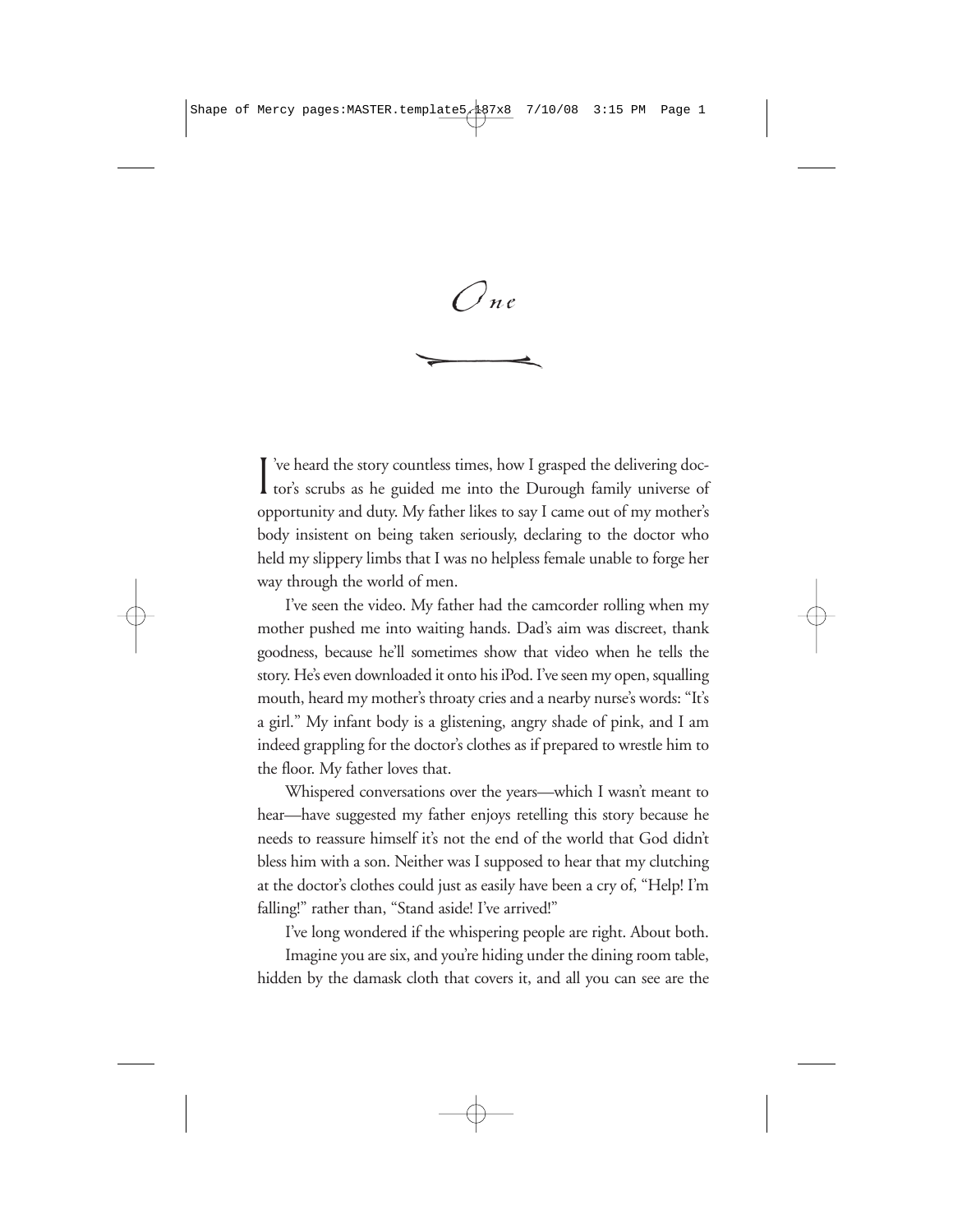$\int$ ne

I've heard the story countless times, how I grasped the delivering doctor's scrubs as he guided me into the Durough family universe of 've heard the story countless times, how I grasped the delivering docopportunity and duty. My father likes to say I came out of my mother's body insistent on being taken seriously, declaring to the doctor who held my slippery limbs that I was no helpless female unable to forge her way through the world of men.

I've seen the video. My father had the camcorder rolling when my mother pushed me into waiting hands. Dad's aim was discreet, thank goodness, because he'll sometimes show that video when he tells the story. He's even downloaded it onto his iPod. I've seen my open, squalling mouth, heard my mother's throaty cries and a nearby nurse's words: "It's a girl." My infant body is a glistening, angry shade of pink, and I am indeed grappling for the doctor's clothes as if prepared to wrestle him to the floor. My father loves that.

Whispered conversations over the years—which I wasn't meant to hear—have suggested my father enjoys retelling this story because he needs to reassure himself it's not the end of the world that God didn't bless him with a son. Neither was I supposed to hear that my clutching at the doctor's clothes could just as easily have been a cry of, "Help! I'm falling!" rather than, "Stand aside! I've arrived!"

I've long wondered if the whispering people are right. About both.

Imagine you are six, and you're hiding under the dining room table, hidden by the damask cloth that covers it, and all you can see are the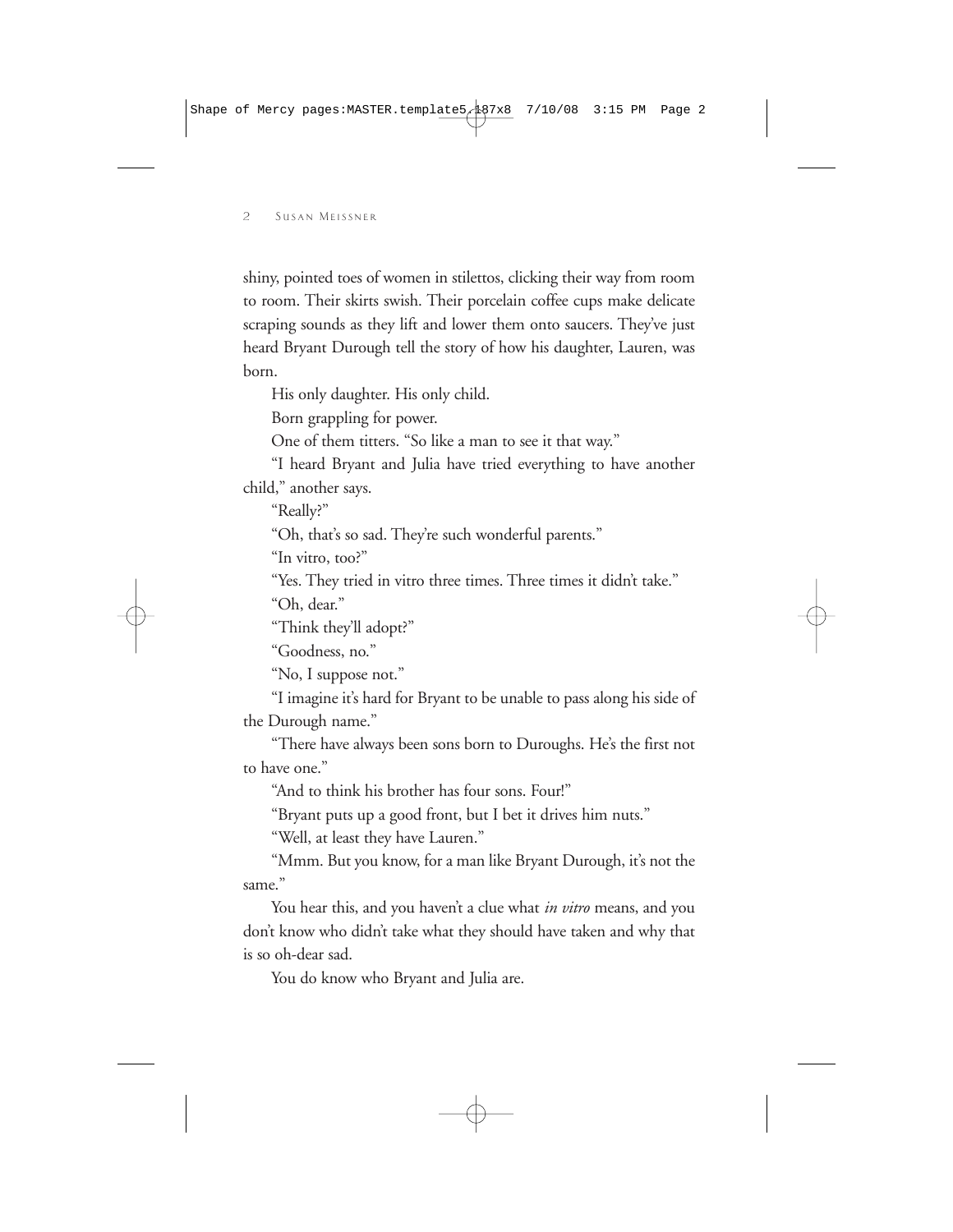shiny, pointed toes of women in stilettos, clicking their way from room to room. Their skirts swish. Their porcelain coffee cups make delicate scraping sounds as they lift and lower them onto saucers. They've just heard Bryant Durough tell the story of how his daughter, Lauren, was born.

His only daughter. His only child.

Born grappling for power.

One of them titters. "So like a man to see it that way."

"I heard Bryant and Julia have tried everything to have another child," another says.

"Really?"

"Oh, that's so sad. They're such wonderful parents."

"In vitro, too?"

"Yes. They tried in vitro three times. Three times it didn't take."

"Oh, dear."

"Think they'll adopt?"

"Goodness, no."

"No, I suppose not."

"I imagine it's hard for Bryant to be unable to pass along his side of the Durough name."

"There have always been sons born to Duroughs. He's the first not to have one."

"And to think his brother has four sons. Four!"

"Bryant puts up a good front, but I bet it drives him nuts."

"Well, at least they have Lauren."

"Mmm. But you know, for a man like Bryant Durough, it's not the same."

You hear this, and you haven't a clue what *in vitro* means, and you don't know who didn't take what they should have taken and why that is so oh-dear sad.

You do know who Bryant and Julia are.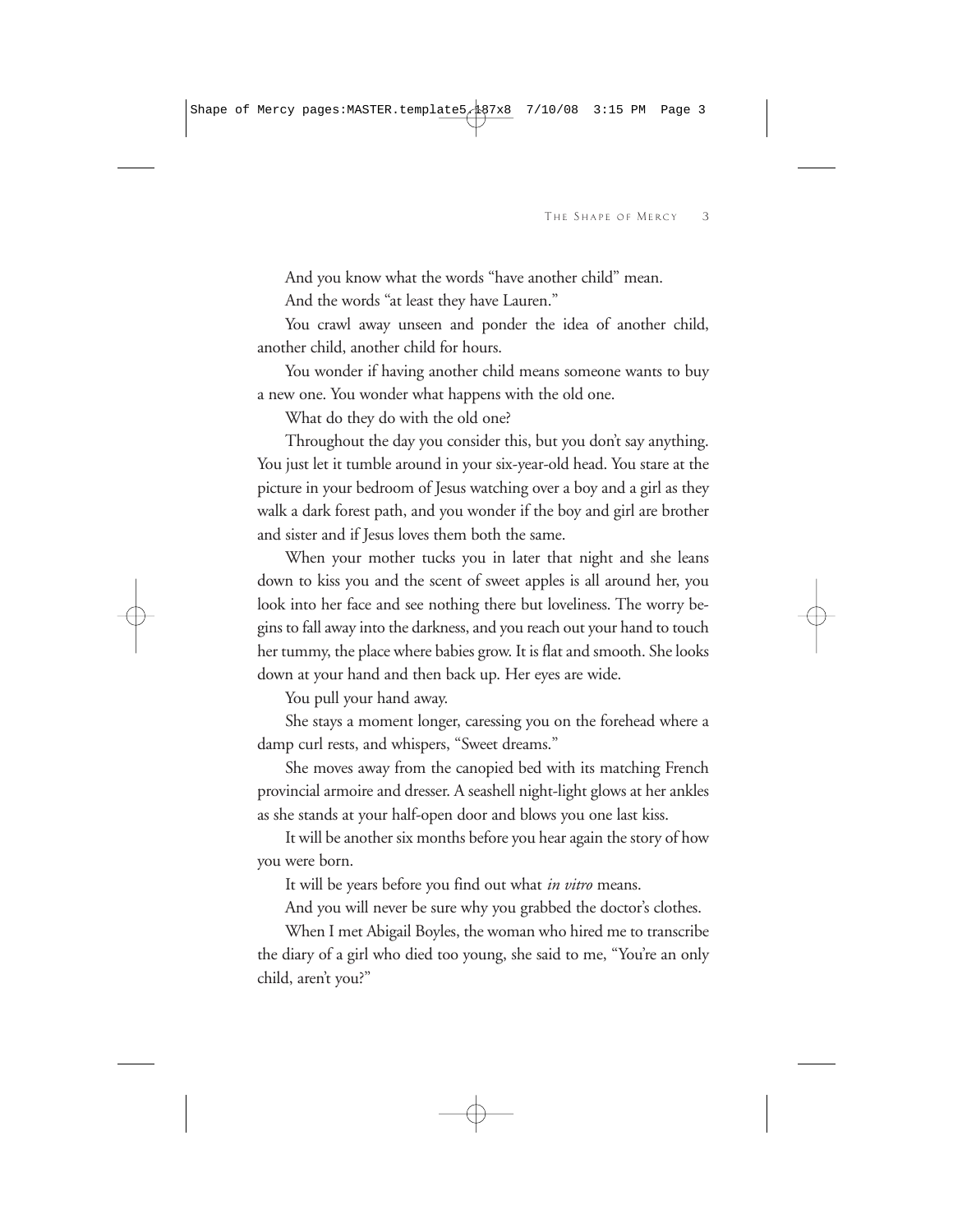And you know what the words "have another child" mean.

And the words "at least they have Lauren."

You crawl away unseen and ponder the idea of another child, another child, another child for hours.

You wonder if having another child means someone wants to buy a new one. You wonder what happens with the old one.

What do they do with the old one?

Throughout the day you consider this, but you don't say anything. You just let it tumble around in your six-year-old head. You stare at the picture in your bedroom of Jesus watching over a boy and a girl as they walk a dark forest path, and you wonder if the boy and girl are brother and sister and if Jesus loves them both the same.

When your mother tucks you in later that night and she leans down to kiss you and the scent of sweet apples is all around her, you look into her face and see nothing there but loveliness. The worry begins to fall away into the darkness, and you reach out your hand to touch her tummy, the place where babies grow. It is flat and smooth. She looks down at your hand and then back up. Her eyes are wide.

You pull your hand away.

She stays a moment longer, caressing you on the forehead where a damp curl rests, and whispers, "Sweet dreams."

She moves away from the canopied bed with its matching French provincial armoire and dresser. A seashell night-light glows at her ankles as she stands at your half-open door and blows you one last kiss.

It will be another six months before you hear again the story of how you were born.

It will be years before you find out what *in vitro* means.

And you will never be sure why you grabbed the doctor's clothes.

When I met Abigail Boyles, the woman who hired me to transcribe the diary of a girl who died too young, she said to me, "You're an only child, aren't you?"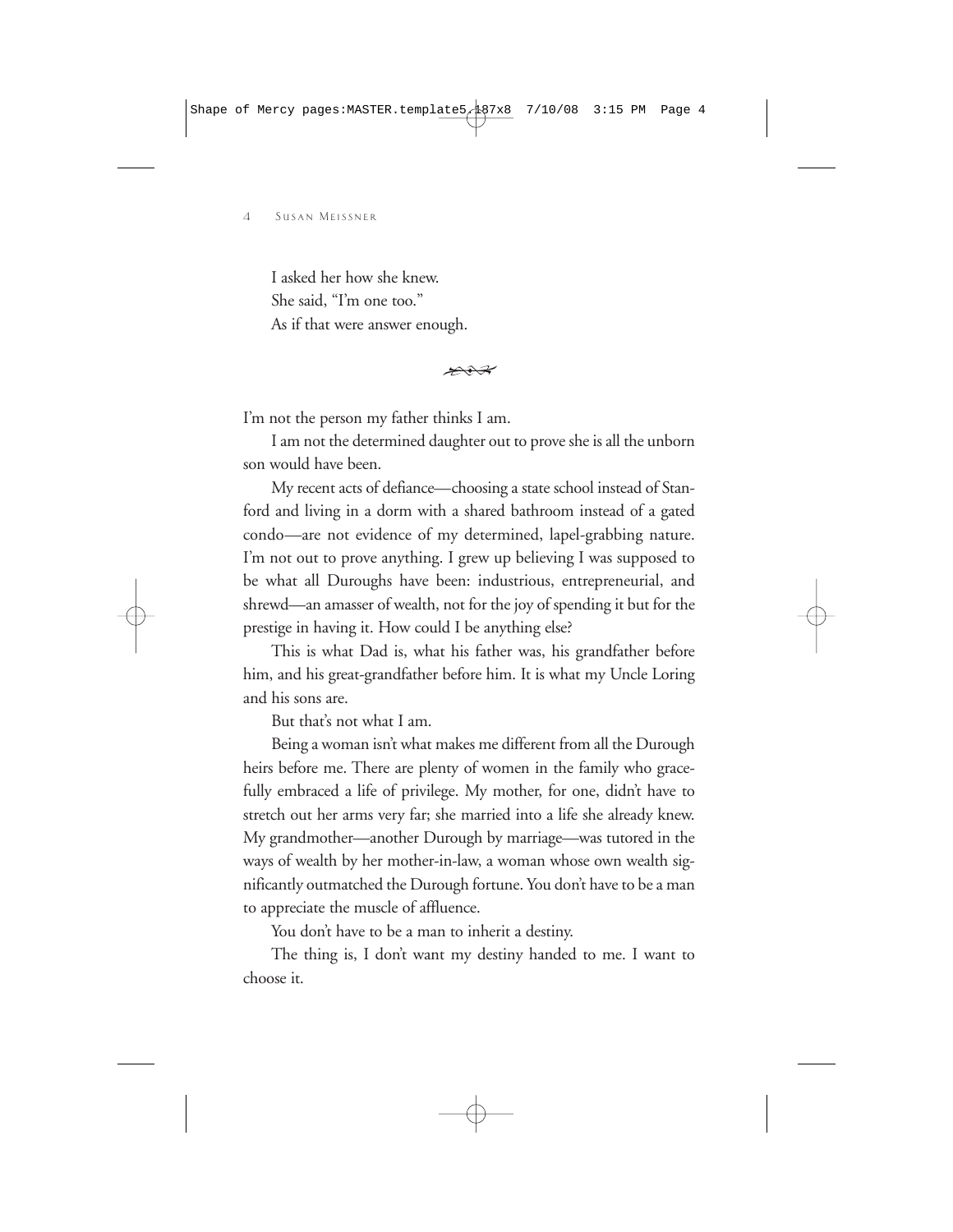I asked her how she knew. She said, "I'm one too." As if that were answer enough.

كالمنابيع

I'm not the person my father thinks I am.

I am not the determined daughter out to prove she is all the unborn son would have been.

My recent acts of defiance—choosing a state school instead of Stanford and living in a dorm with a shared bathroom instead of a gated condo—are not evidence of my determined, lapel-grabbing nature. I'm not out to prove anything. I grew up believing I was supposed to be what all Duroughs have been: industrious, entrepreneurial, and shrewd—an amasser of wealth, not for the joy of spending it but for the prestige in having it. How could I be anything else?

This is what Dad is, what his father was, his grandfather before him, and his great-grandfather before him. It is what my Uncle Loring and his sons are.

But that's not what I am.

Being a woman isn't what makes me different from all the Durough heirs before me. There are plenty of women in the family who gracefully embraced a life of privilege. My mother, for one, didn't have to stretch out her arms very far; she married into a life she already knew. My grandmother—another Durough by marriage—was tutored in the ways of wealth by her mother-in-law, a woman whose own wealth significantly outmatched the Durough fortune. You don't have to be a man to appreciate the muscle of affluence.

You don't have to be a man to inherit a destiny.

The thing is, I don't want my destiny handed to me. I want to choose it.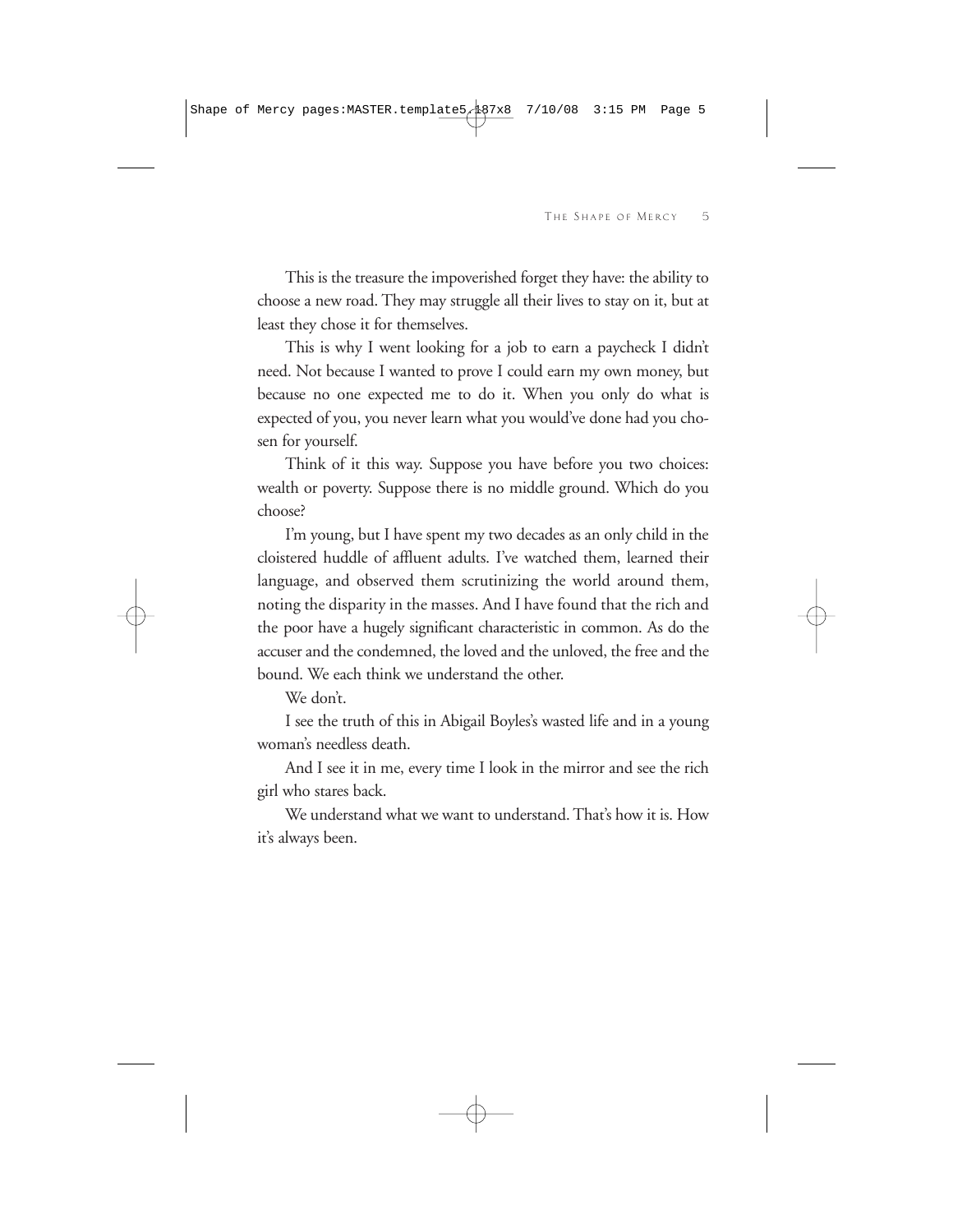This is the treasure the impoverished forget they have: the ability to choose a new road. They may struggle all their lives to stay on it, but at least they chose it for themselves.

This is why I went looking for a job to earn a paycheck I didn't need. Not because I wanted to prove I could earn my own money, but because no one expected me to do it. When you only do what is expected of you, you never learn what you would've done had you chosen for yourself.

Think of it this way. Suppose you have before you two choices: wealth or poverty. Suppose there is no middle ground. Which do you choose?

I'm young, but I have spent my two decades as an only child in the cloistered huddle of affluent adults. I've watched them, learned their language, and observed them scrutinizing the world around them, noting the disparity in the masses. And I have found that the rich and the poor have a hugely significant characteristic in common. As do the accuser and the condemned, the loved and the unloved, the free and the bound. We each think we understand the other.

We don't.

I see the truth of this in Abigail Boyles's wasted life and in a young woman's needless death.

And I see it in me, every time I look in the mirror and see the rich girl who stares back.

We understand what we want to understand. That's how it is. How it's always been.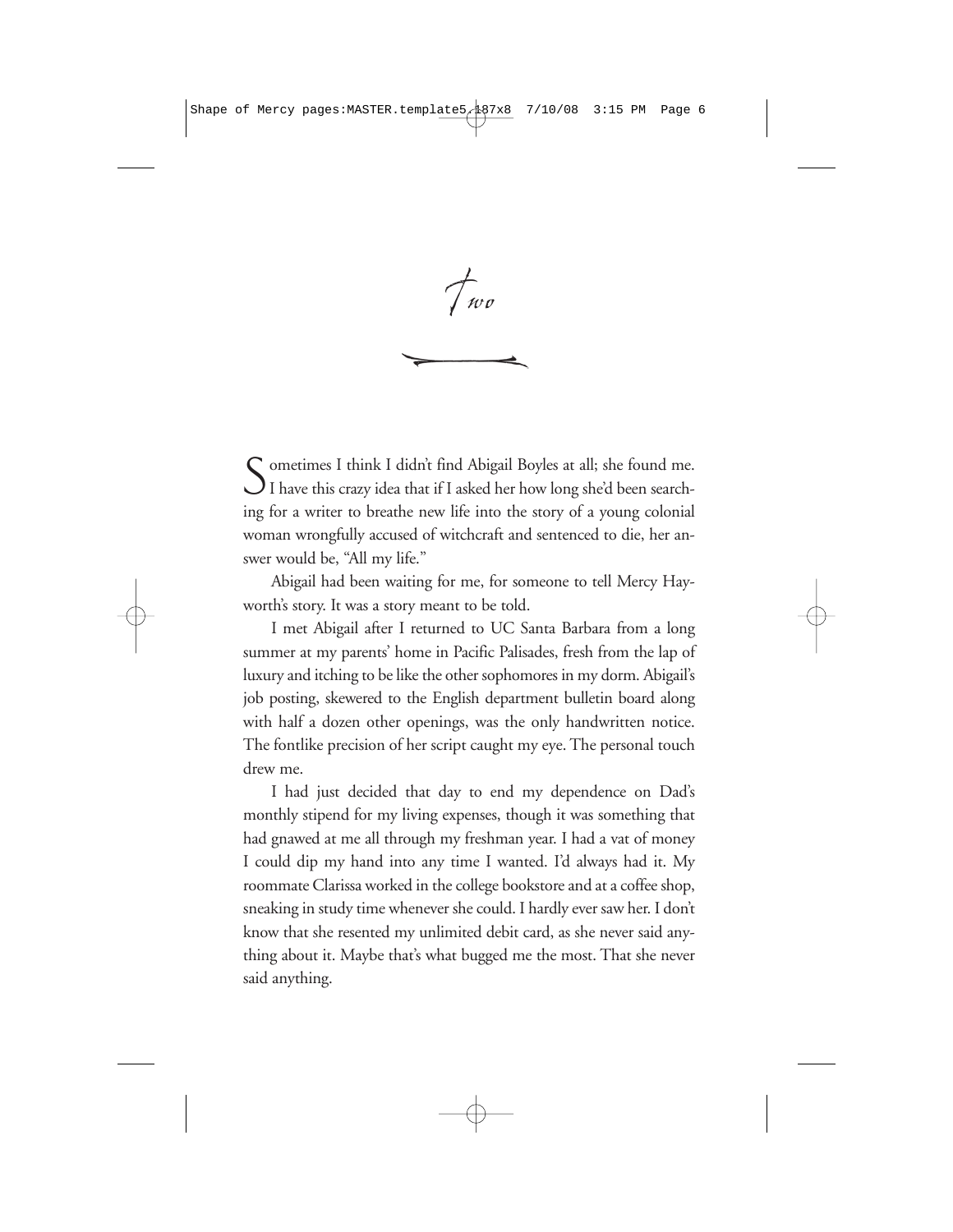$\int w e$ 

Sometimes I think I didn't find Abigail Boyles at all; she found me.<br>I have this crazy idea that if I asked her how long she'd been searching for a writer to breathe new life into the story of a young colonial woman wrongfully accused of witchcraft and sentenced to die, her answer would be, "All my life."

Abigail had been waiting for me, for someone to tell Mercy Hayworth's story. It was a story meant to be told.

I met Abigail after I returned to UC Santa Barbara from a long summer at my parents' home in Pacific Palisades, fresh from the lap of luxury and itching to be like the other sophomores in my dorm. Abigail's job posting, skewered to the English department bulletin board along with half a dozen other openings, was the only handwritten notice. The fontlike precision of her script caught my eye. The personal touch drew me.

I had just decided that day to end my dependence on Dad's monthly stipend for my living expenses, though it was something that had gnawed at me all through my freshman year. I had a vat of money I could dip my hand into any time I wanted. I'd always had it. My roommate Clarissa worked in the college bookstore and at a coffee shop, sneaking in study time whenever she could. I hardly ever saw her. I don't know that she resented my unlimited debit card, as she never said anything about it. Maybe that's what bugged me the most. That she never said anything.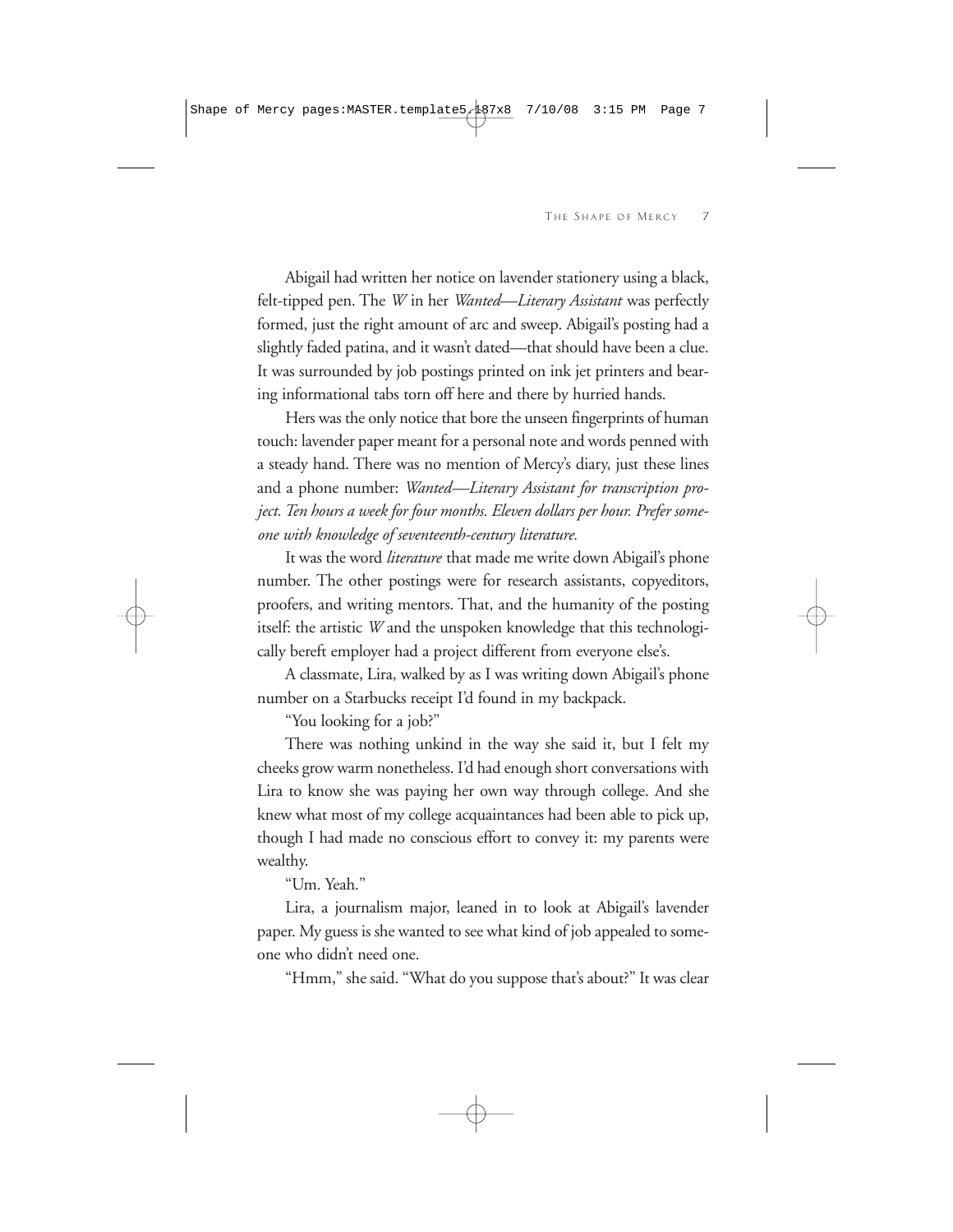Abigail had written her notice on lavender stationery using a black, felt-tipped pen. The *W* in her *Wanted—Literary Assistant* was perfectly formed, just the right amount of arc and sweep. Abigail's posting had a slightly faded patina, and it wasn't dated—that should have been a clue. It was surrounded by job postings printed on ink jet printers and bearing informational tabs torn off here and there by hurried hands.

Hers was the only notice that bore the unseen fingerprints of human touch: lavender paper meant for a personal note and words penned with a steady hand. There was no mention of Mercy's diary, just these lines and a phone number: *Wanted—Literary Assistant for transcription project. Ten hours a week for four months. Eleven dollars per hour. Prefer someone with knowledge of seventeenth-century literature.*

It was the word *literature* that made me write down Abigail's phone number. The other postings were for research assistants, copyeditors, proofers, and writing mentors. That, and the humanity of the posting itself: the artistic *W* and the unspoken knowledge that this technologically bereft employer had a project different from everyone else's.

A classmate, Lira, walked by as I was writing down Abigail's phone number on a Starbucks receipt I'd found in my backpack.

"You looking for a job?"

There was nothing unkind in the way she said it, but I felt my cheeks grow warm nonetheless. I'd had enough short conversations with Lira to know she was paying her own way through college. And she knew what most of my college acquaintances had been able to pick up, though I had made no conscious effort to convey it: my parents were wealthy.

"Um. Yeah."

Lira, a journalism major, leaned in to look at Abigail's lavender paper. My guess is she wanted to see what kind of job appealed to someone who didn't need one.

"Hmm," she said. "What do you suppose that's about?" It was clear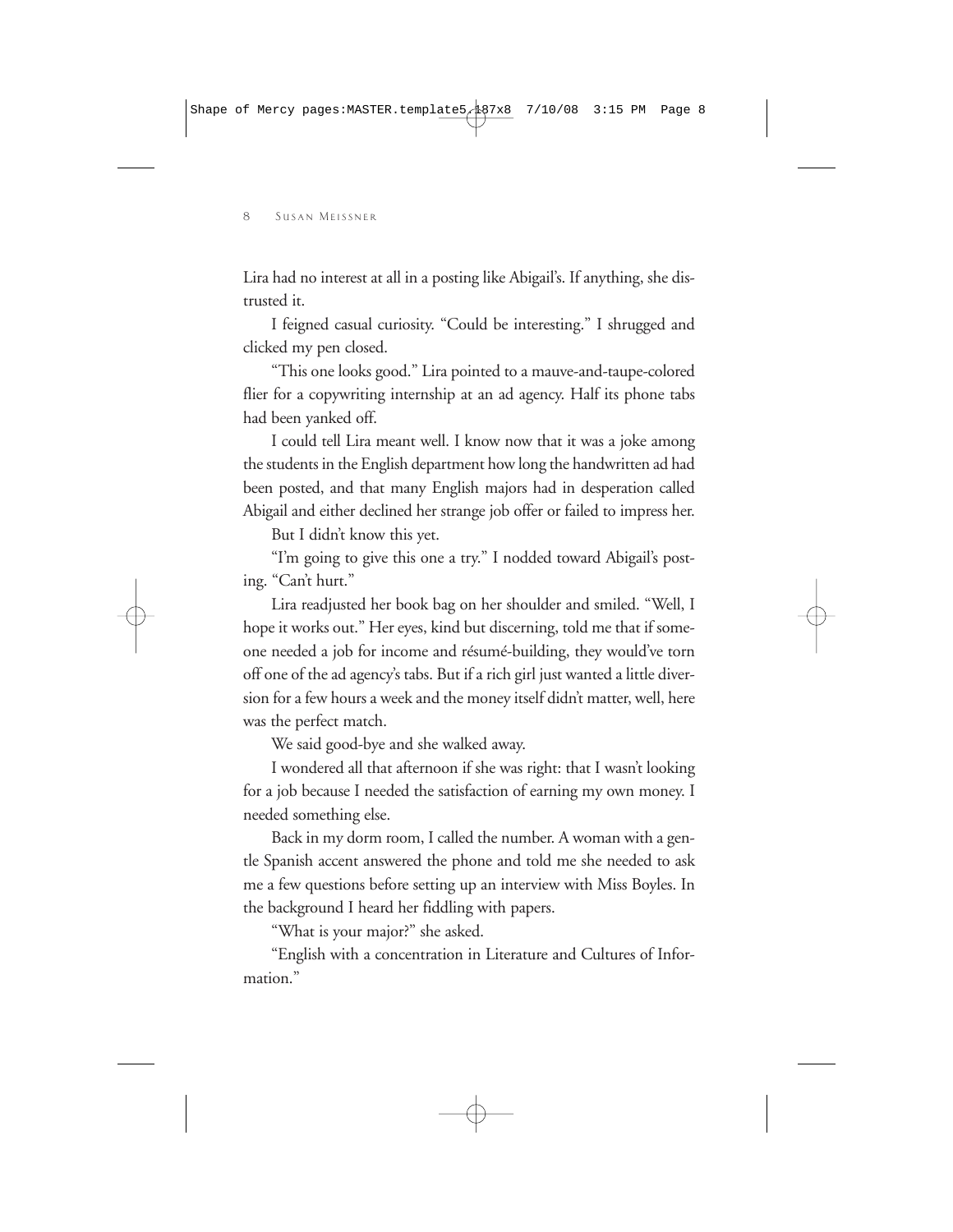Lira had no interest at all in a posting like Abigail's. If anything, she distrusted it.

I feigned casual curiosity. "Could be interesting." I shrugged and clicked my pen closed.

"This one looks good." Lira pointed to a mauve-and-taupe-colored flier for a copywriting internship at an ad agency. Half its phone tabs had been yanked off.

I could tell Lira meant well. I know now that it was a joke among the students in the English department how long the handwritten ad had been posted, and that many English majors had in desperation called Abigail and either declined her strange job offer or failed to impress her.

But I didn't know this yet.

"I'm going to give this one a try." I nodded toward Abigail's posting. "Can't hurt."

Lira readjusted her book bag on her shoulder and smiled. "Well, I hope it works out." Her eyes, kind but discerning, told me that if someone needed a job for income and résumé-building, they would've torn off one of the ad agency's tabs. But if a rich girl just wanted a little diversion for a few hours a week and the money itself didn't matter, well, here was the perfect match.

We said good-bye and she walked away.

I wondered all that afternoon if she was right: that I wasn't looking for a job because I needed the satisfaction of earning my own money. I needed something else.

Back in my dorm room, I called the number. A woman with a gentle Spanish accent answered the phone and told me she needed to ask me a few questions before setting up an interview with Miss Boyles. In the background I heard her fiddling with papers.

"What is your major?" she asked.

"English with a concentration in Literature and Cultures of Information<sup>"</sup>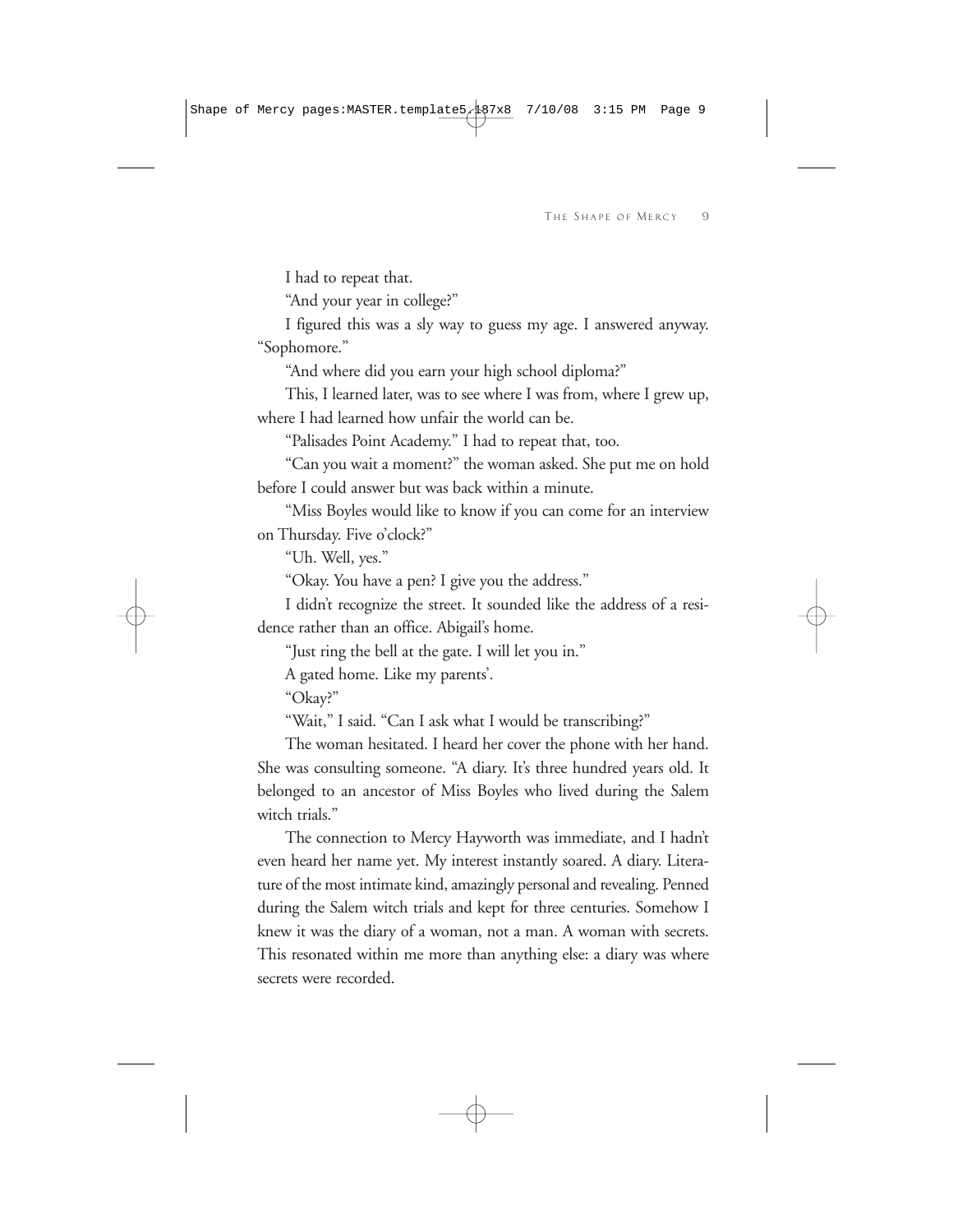I had to repeat that.

"And your year in college?"

I figured this was a sly way to guess my age. I answered anyway. "Sophomore."

"And where did you earn your high school diploma?"

This, I learned later, was to see where I was from, where I grew up, where I had learned how unfair the world can be.

"Palisades Point Academy." I had to repeat that, too.

"Can you wait a moment?" the woman asked. She put me on hold before I could answer but was back within a minute.

"Miss Boyles would like to know if you can come for an interview on Thursday. Five o'clock?"

"Uh. Well, yes."

"Okay. You have a pen? I give you the address."

I didn't recognize the street. It sounded like the address of a residence rather than an office. Abigail's home.

"Just ring the bell at the gate. I will let you in."

A gated home. Like my parents'.

"Okay?"

"Wait," I said. "Can I ask what I would be transcribing?"

The woman hesitated. I heard her cover the phone with her hand. She was consulting someone. "A diary. It's three hundred years old. It belonged to an ancestor of Miss Boyles who lived during the Salem witch trials."

The connection to Mercy Hayworth was immediate, and I hadn't even heard her name yet. My interest instantly soared. A diary. Literature of the most intimate kind, amazingly personal and revealing. Penned during the Salem witch trials and kept for three centuries. Somehow I knew it was the diary of a woman, not a man. A woman with secrets. This resonated within me more than anything else: a diary was where secrets were recorded.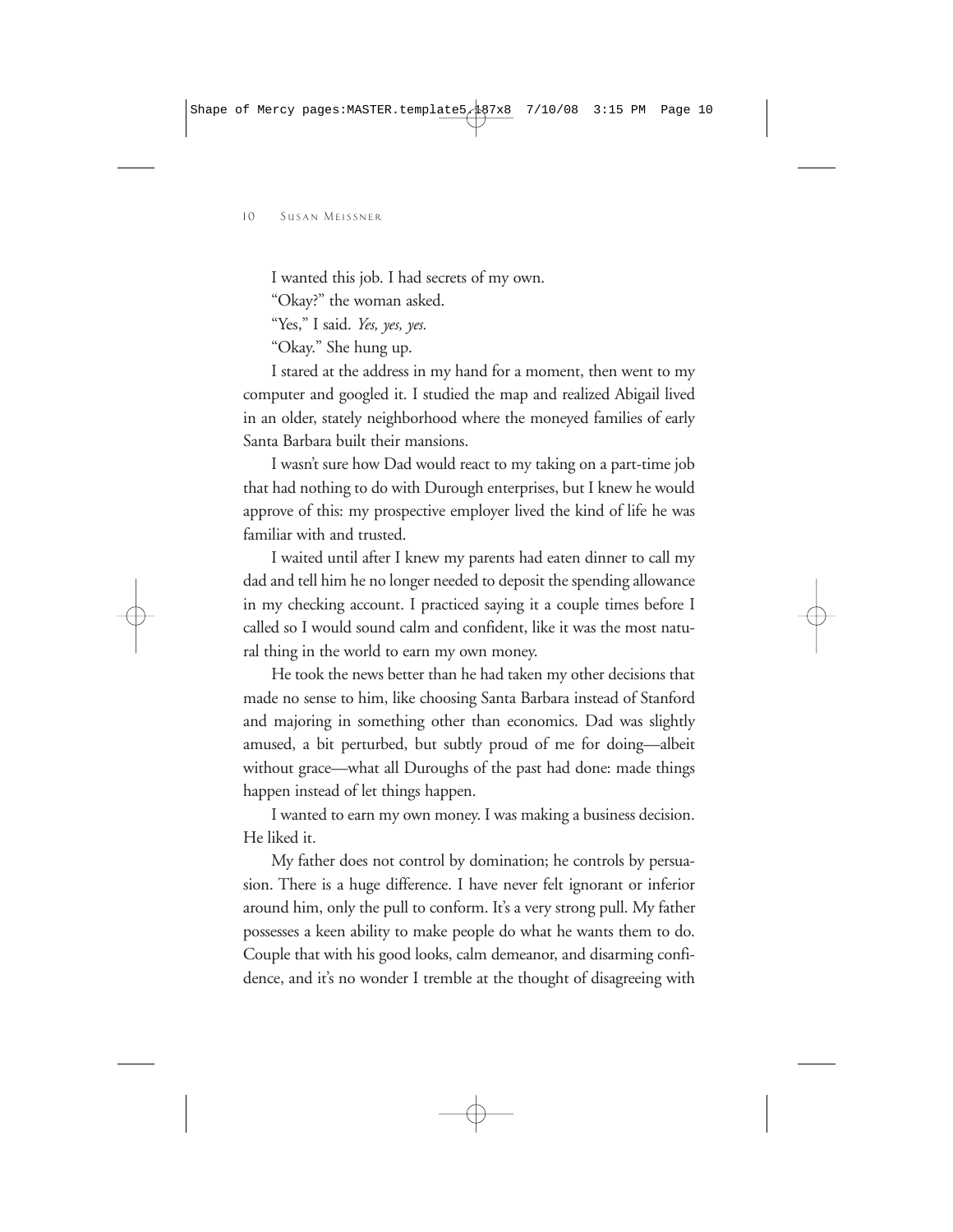I wanted this job. I had secrets of my own.

"Okay?" the woman asked.

"Yes," I said. *Yes, yes, yes.*

"Okay." She hung up.

I stared at the address in my hand for a moment, then went to my computer and googled it. I studied the map and realized Abigail lived in an older, stately neighborhood where the moneyed families of early Santa Barbara built their mansions.

I wasn't sure how Dad would react to my taking on a part-time job that had nothing to do with Durough enterprises, but I knew he would approve of this: my prospective employer lived the kind of life he was familiar with and trusted.

I waited until after I knew my parents had eaten dinner to call my dad and tell him he no longer needed to deposit the spending allowance in my checking account. I practiced saying it a couple times before I called so I would sound calm and confident, like it was the most natural thing in the world to earn my own money.

He took the news better than he had taken my other decisions that made no sense to him, like choosing Santa Barbara instead of Stanford and majoring in something other than economics. Dad was slightly amused, a bit perturbed, but subtly proud of me for doing—albeit without grace—what all Duroughs of the past had done: made things happen instead of let things happen.

I wanted to earn my own money. I was making a business decision. He liked it.

My father does not control by domination; he controls by persuasion. There is a huge difference. I have never felt ignorant or inferior around him, only the pull to conform. It's a very strong pull. My father possesses a keen ability to make people do what he wants them to do. Couple that with his good looks, calm demeanor, and disarming confidence, and it's no wonder I tremble at the thought of disagreeing with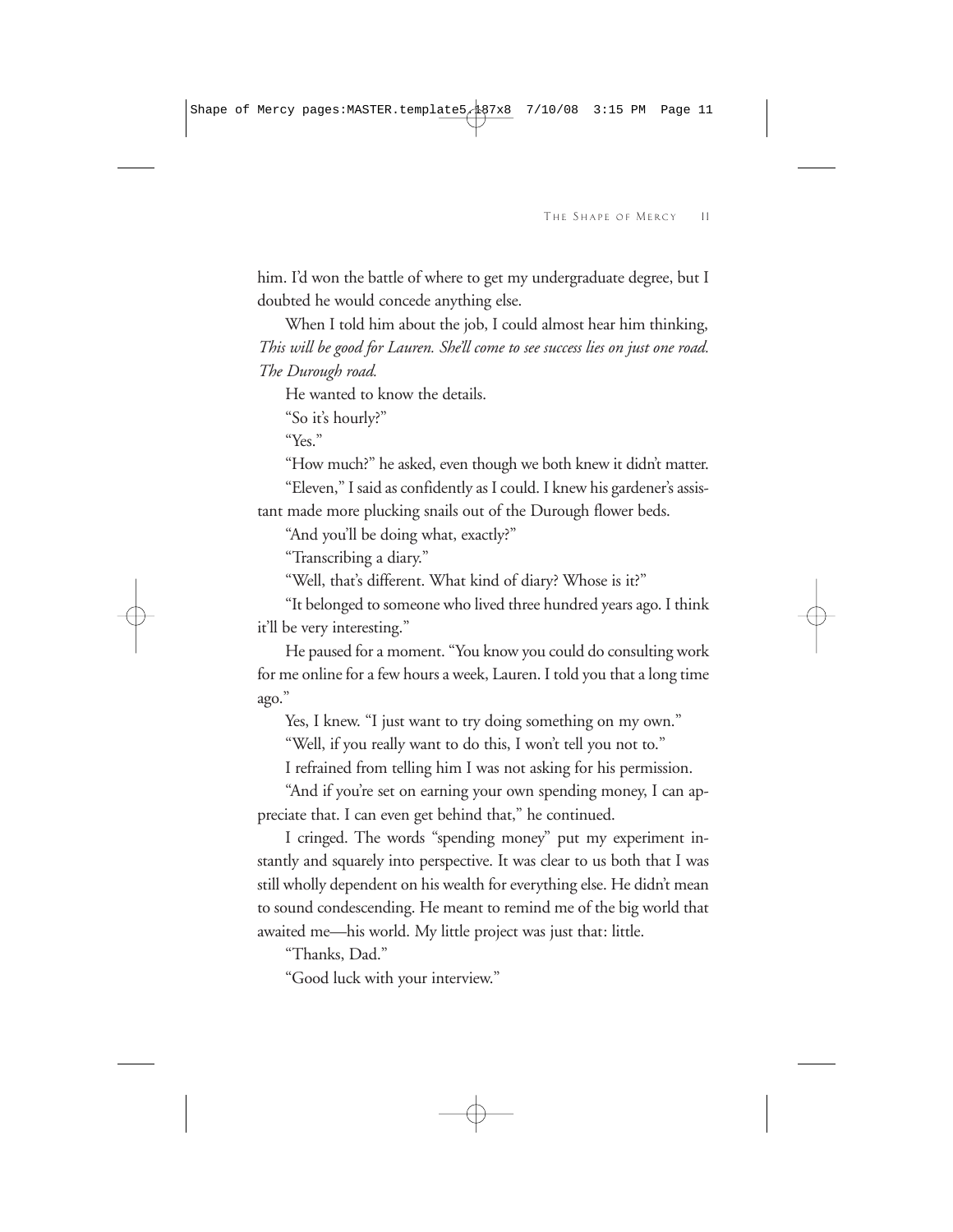him. I'd won the battle of where to get my undergraduate degree, but I doubted he would concede anything else.

When I told him about the job, I could almost hear him thinking, *This will be good for Lauren. She'll come to see success lies on just one road. The Durough road.*

He wanted to know the details.

"So it's hourly?"

"Yes."

"How much?" he asked, even though we both knew it didn't matter.

"Eleven," I said as confidently as I could. I knew his gardener's assistant made more plucking snails out of the Durough flower beds.

"And you'll be doing what, exactly?"

"Transcribing a diary."

"Well, that's different. What kind of diary? Whose is it?"

"It belonged to someone who lived three hundred years ago. I think it'll be very interesting."

He paused for a moment. "You know you could do consulting work for me online for a few hours a week, Lauren. I told you that a long time ago."

Yes, I knew. "I just want to try doing something on my own."

"Well, if you really want to do this, I won't tell you not to."

I refrained from telling him I was not asking for his permission.

"And if you're set on earning your own spending money, I can appreciate that. I can even get behind that," he continued.

I cringed. The words "spending money" put my experiment instantly and squarely into perspective. It was clear to us both that I was still wholly dependent on his wealth for everything else. He didn't mean to sound condescending. He meant to remind me of the big world that awaited me—his world. My little project was just that: little.

"Thanks, Dad."

"Good luck with your interview."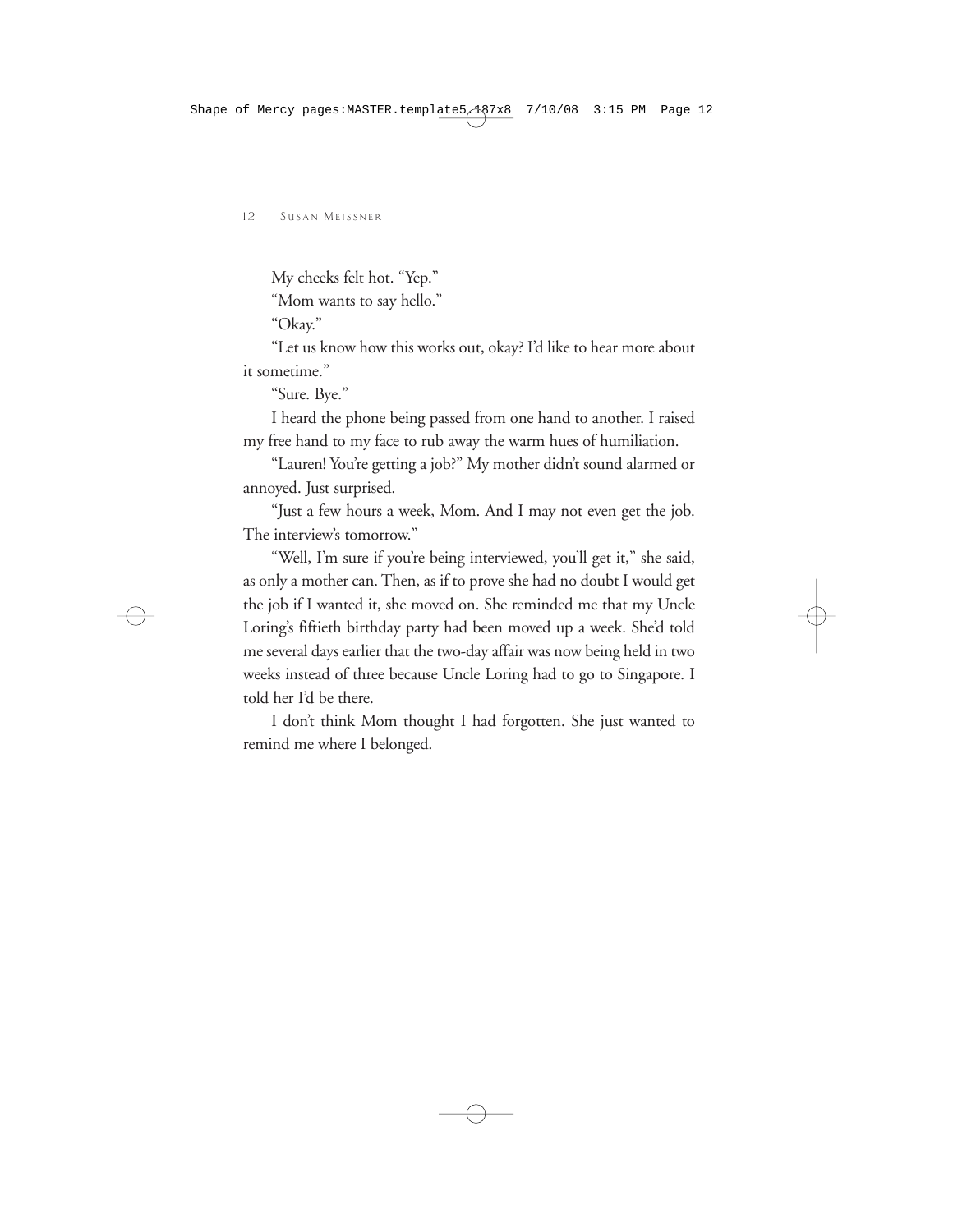My cheeks felt hot. "Yep."

"Mom wants to say hello."

"Okay."

"Let us know how this works out, okay? I'd like to hear more about it sometime."

"Sure. Bye."

I heard the phone being passed from one hand to another. I raised my free hand to my face to rub away the warm hues of humiliation.

"Lauren! You're getting a job?" My mother didn't sound alarmed or annoyed. Just surprised.

"Just a few hours a week, Mom. And I may not even get the job. The interview's tomorrow."

"Well, I'm sure if you're being interviewed, you'll get it," she said, as only a mother can. Then, as if to prove she had no doubt I would get the job if I wanted it, she moved on. She reminded me that my Uncle Loring's fiftieth birthday party had been moved up a week. She'd told me several days earlier that the two-day affair was now being held in two weeks instead of three because Uncle Loring had to go to Singapore. I told her I'd be there.

I don't think Mom thought I had forgotten. She just wanted to remind me where I belonged.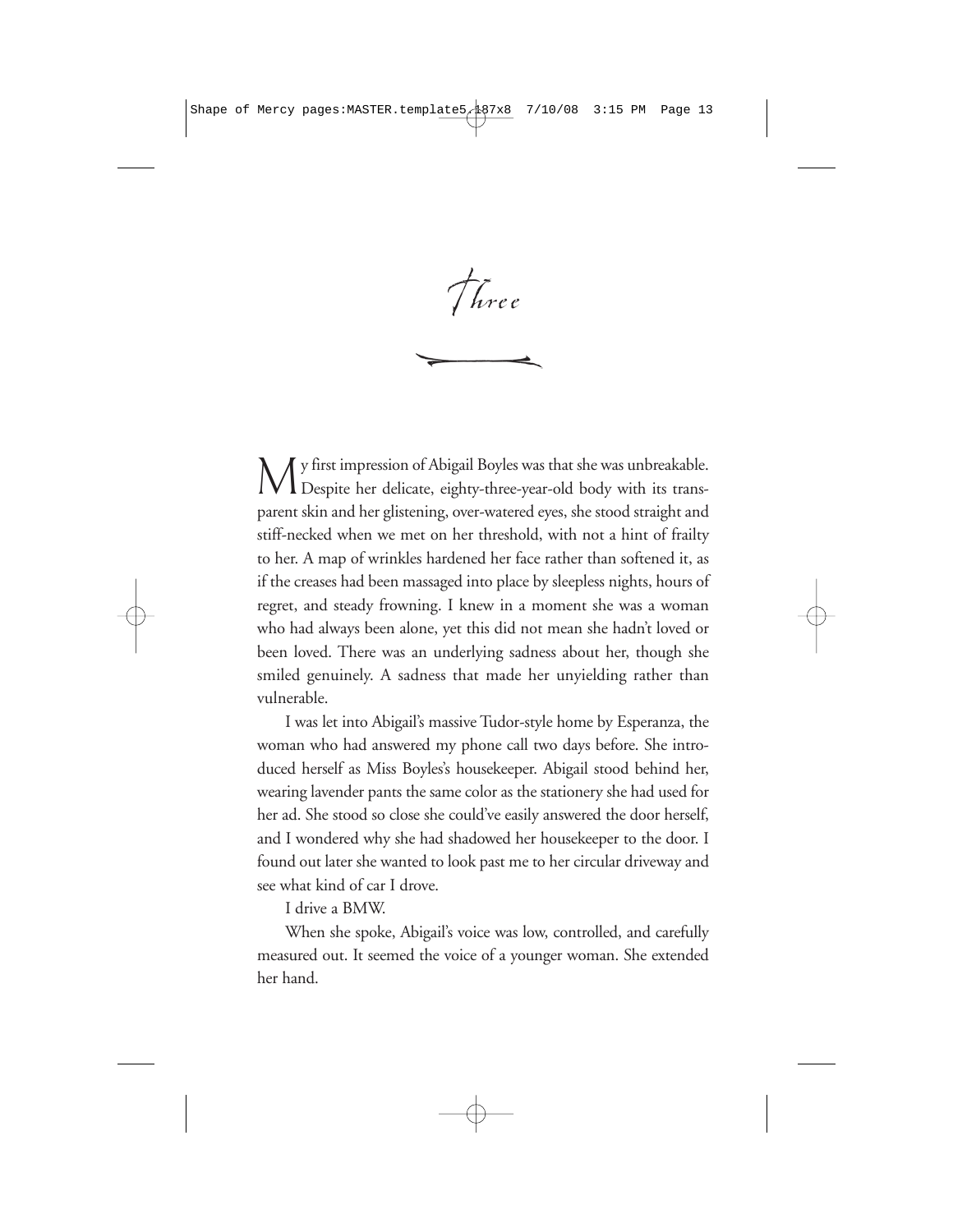Three

 $\bigvee$  y first impression of Abigail Boyles was that she was unbreakable. Despite her delicate, eighty-three-year-old body with its transparent skin and her glistening, over-watered eyes, she stood straight and stiff-necked when we met on her threshold, with not a hint of frailty to her. A map of wrinkles hardened her face rather than softened it, as if the creases had been massaged into place by sleepless nights, hours of regret, and steady frowning. I knew in a moment she was a woman who had always been alone, yet this did not mean she hadn't loved or been loved. There was an underlying sadness about her, though she smiled genuinely. A sadness that made her unyielding rather than vulnerable.

I was let into Abigail's massive Tudor-style home by Esperanza, the woman who had answered my phone call two days before. She introduced herself as Miss Boyles's housekeeper. Abigail stood behind her, wearing lavender pants the same color as the stationery she had used for her ad. She stood so close she could've easily answered the door herself, and I wondered why she had shadowed her housekeeper to the door. I found out later she wanted to look past me to her circular driveway and see what kind of car I drove.

I drive a BMW.

When she spoke, Abigail's voice was low, controlled, and carefully measured out. It seemed the voice of a younger woman. She extended her hand.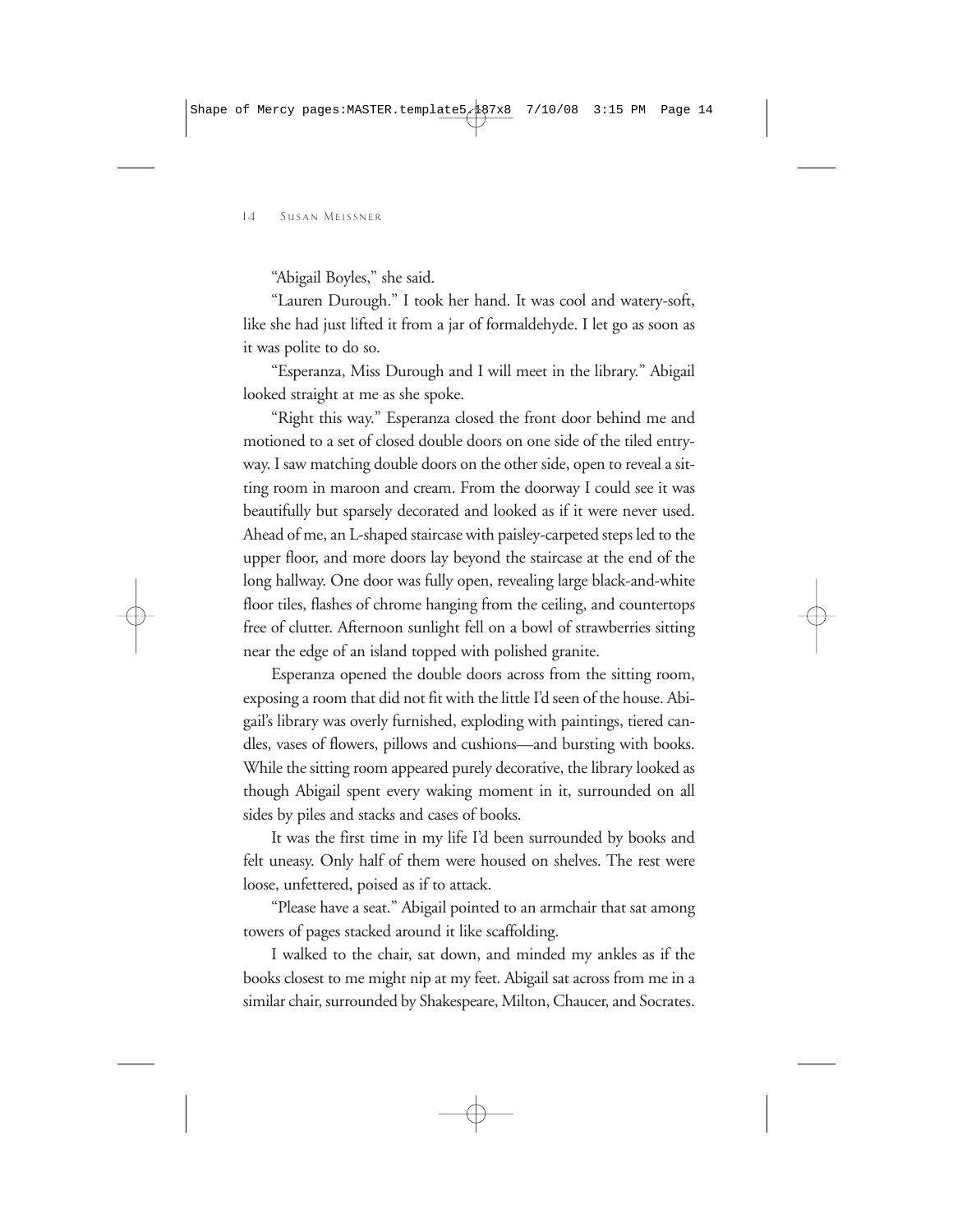"Abigail Boyles," she said.

"Lauren Durough." I took her hand. It was cool and watery-soft, like she had just lifted it from a jar of formaldehyde. I let go as soon as it was polite to do so.

"Esperanza, Miss Durough and I will meet in the library." Abigail looked straight at me as she spoke.

"Right this way." Esperanza closed the front door behind me and motioned to a set of closed double doors on one side of the tiled entryway. I saw matching double doors on the other side, open to reveal a sitting room in maroon and cream. From the doorway I could see it was beautifully but sparsely decorated and looked as if it were never used. Ahead of me, an L-shaped staircase with paisley-carpeted steps led to the upper floor, and more doors lay beyond the staircase at the end of the long hallway. One door was fully open, revealing large black-and-white floor tiles, flashes of chrome hanging from the ceiling, and countertops free of clutter. Afternoon sunlight fell on a bowl of strawberries sitting near the edge of an island topped with polished granite.

Esperanza opened the double doors across from the sitting room, exposing a room that did not fit with the little I'd seen of the house. Abigail's library was overly furnished, exploding with paintings, tiered candles, vases of flowers, pillows and cushions—and bursting with books. While the sitting room appeared purely decorative, the library looked as though Abigail spent every waking moment in it, surrounded on all sides by piles and stacks and cases of books.

It was the first time in my life I'd been surrounded by books and felt uneasy. Only half of them were housed on shelves. The rest were loose, unfettered, poised as if to attack.

"Please have a seat." Abigail pointed to an armchair that sat among towers of pages stacked around it like scaffolding.

I walked to the chair, sat down, and minded my ankles as if the books closest to me might nip at my feet. Abigail sat across from me in a similar chair, surrounded by Shakespeare, Milton, Chaucer, and Socrates.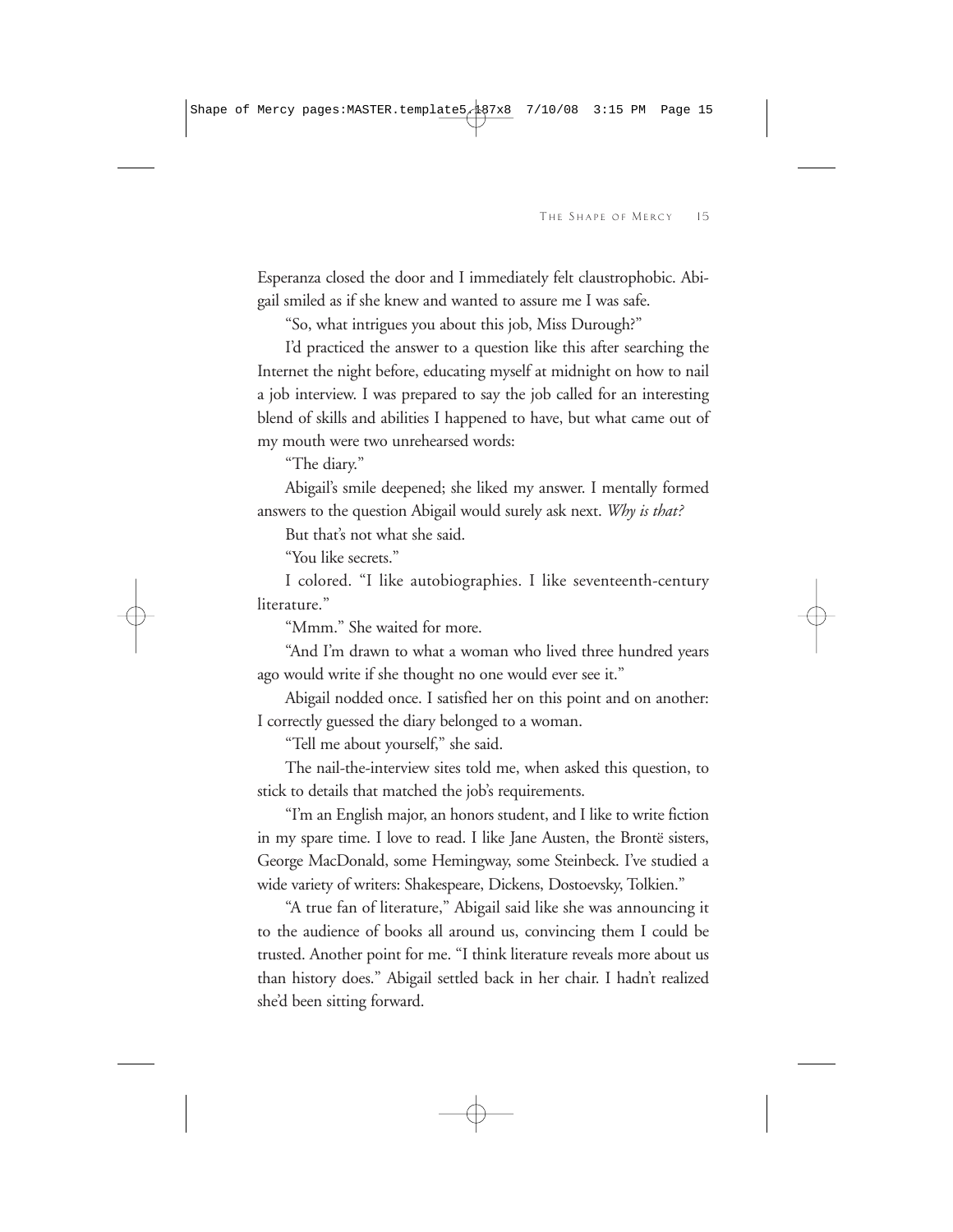Esperanza closed the door and I immediately felt claustrophobic. Abigail smiled as if she knew and wanted to assure me I was safe.

"So, what intrigues you about this job, Miss Durough?"

I'd practiced the answer to a question like this after searching the Internet the night before, educating myself at midnight on how to nail a job interview. I was prepared to say the job called for an interesting blend of skills and abilities I happened to have, but what came out of my mouth were two unrehearsed words:

"The diary."

Abigail's smile deepened; she liked my answer. I mentally formed answers to the question Abigail would surely ask next. *Why is that?*

But that's not what she said.

"You like secrets."

I colored. "I like autobiographies. I like seventeenth-century literature."

"Mmm." She waited for more.

"And I'm drawn to what a woman who lived three hundred years ago would write if she thought no one would ever see it."

Abigail nodded once. I satisfied her on this point and on another: I correctly guessed the diary belonged to a woman.

"Tell me about yourself," she said.

The nail-the-interview sites told me, when asked this question, to stick to details that matched the job's requirements.

"I'm an English major, an honors student, and I like to write fiction in my spare time. I love to read. I like Jane Austen, the Brontë sisters, George MacDonald, some Hemingway, some Steinbeck. I've studied a wide variety of writers: Shakespeare, Dickens, Dostoevsky, Tolkien."

"A true fan of literature," Abigail said like she was announcing it to the audience of books all around us, convincing them I could be trusted. Another point for me. "I think literature reveals more about us than history does." Abigail settled back in her chair. I hadn't realized she'd been sitting forward.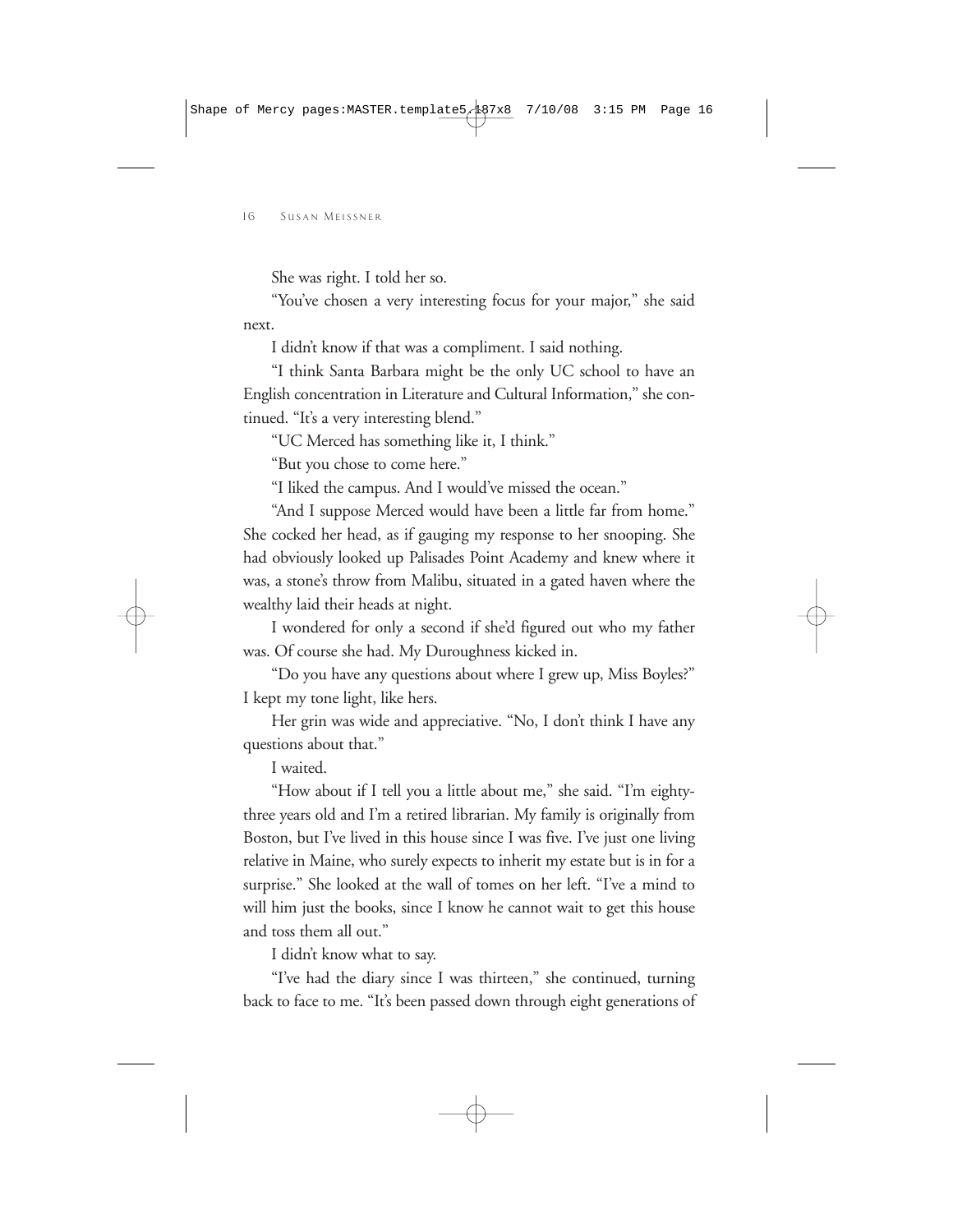She was right. I told her so.

"You've chosen a very interesting focus for your major," she said next.

I didn't know if that was a compliment. I said nothing.

"I think Santa Barbara might be the only UC school to have an English concentration in Literature and Cultural Information," she continued. "It's a very interesting blend."

"UC Merced has something like it, I think."

"But you chose to come here."

"I liked the campus. And I would've missed the ocean."

"And I suppose Merced would have been a little far from home." She cocked her head, as if gauging my response to her snooping. She had obviously looked up Palisades Point Academy and knew where it was, a stone's throw from Malibu, situated in a gated haven where the wealthy laid their heads at night.

I wondered for only a second if she'd figured out who my father was. Of course she had. My Duroughness kicked in.

"Do you have any questions about where I grew up, Miss Boyles?" I kept my tone light, like hers.

Her grin was wide and appreciative. "No, I don't think I have any questions about that."

I waited.

"How about if I tell you a little about me," she said. "I'm eightythree years old and I'm a retired librarian. My family is originally from Boston, but I've lived in this house since I was five. I've just one living relative in Maine, who surely expects to inherit my estate but is in for a surprise." She looked at the wall of tomes on her left. "I've a mind to will him just the books, since I know he cannot wait to get this house and toss them all out."

I didn't know what to say.

"I've had the diary since I was thirteen," she continued, turning back to face to me. "It's been passed down through eight generations of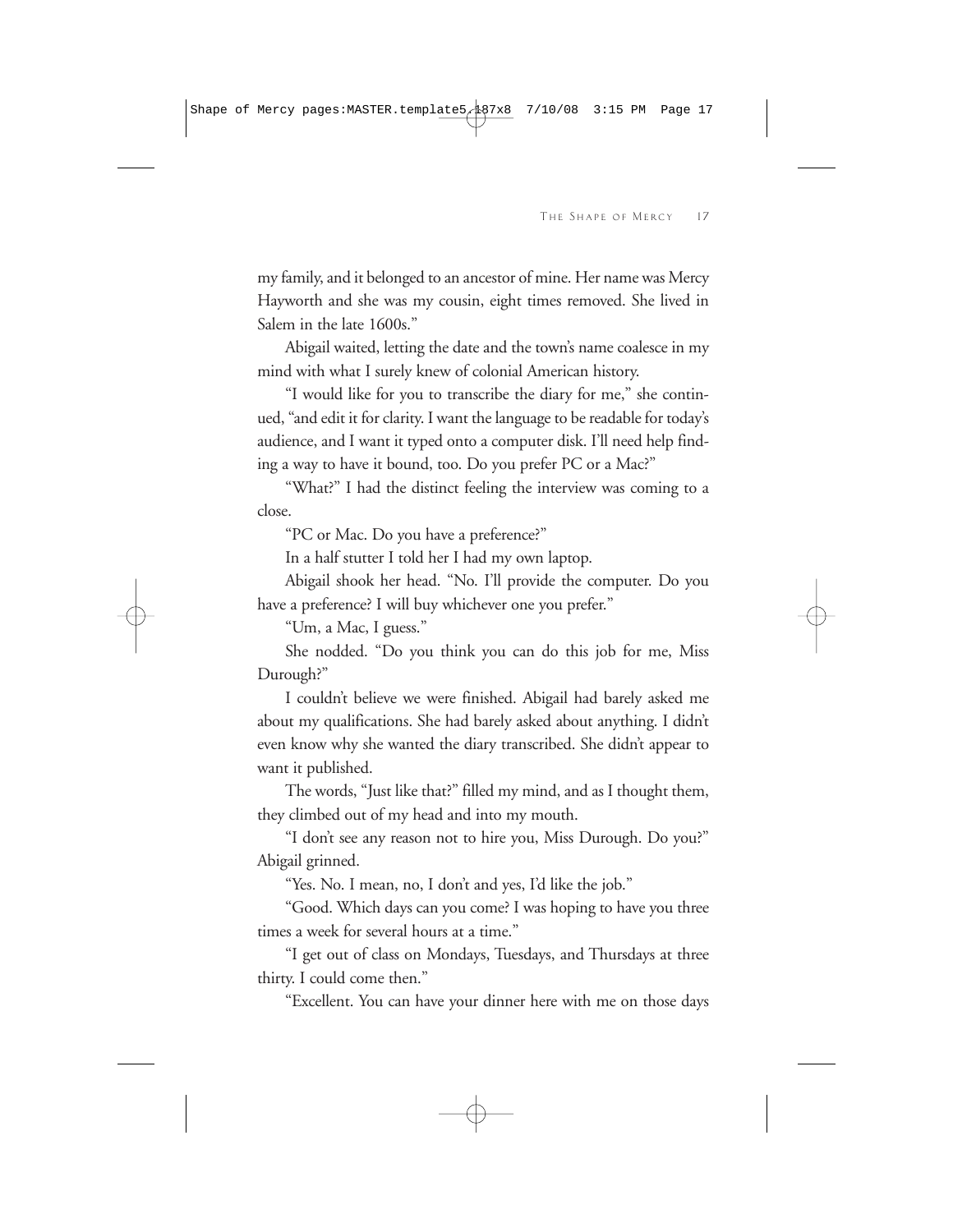my family, and it belonged to an ancestor of mine. Her name was Mercy Hayworth and she was my cousin, eight times removed. She lived in Salem in the late 1600s."

Abigail waited, letting the date and the town's name coalesce in my mind with what I surely knew of colonial American history.

"I would like for you to transcribe the diary for me," she continued, "and edit it for clarity. I want the language to be readable for today's audience, and I want it typed onto a computer disk. I'll need help finding a way to have it bound, too. Do you prefer PC or a Mac?"

"What?" I had the distinct feeling the interview was coming to a close.

"PC or Mac. Do you have a preference?"

In a half stutter I told her I had my own laptop.

Abigail shook her head. "No. I'll provide the computer. Do you have a preference? I will buy whichever one you prefer."

"Um, a Mac, I guess."

She nodded. "Do you think you can do this job for me, Miss Durough?"

I couldn't believe we were finished. Abigail had barely asked me about my qualifications. She had barely asked about anything. I didn't even know why she wanted the diary transcribed. She didn't appear to want it published.

The words, "Just like that?" filled my mind, and as I thought them, they climbed out of my head and into my mouth.

"I don't see any reason not to hire you, Miss Durough. Do you?" Abigail grinned.

"Yes. No. I mean, no, I don't and yes, I'd like the job."

"Good. Which days can you come? I was hoping to have you three times a week for several hours at a time."

"I get out of class on Mondays, Tuesdays, and Thursdays at three thirty. I could come then."

"Excellent. You can have your dinner here with me on those days